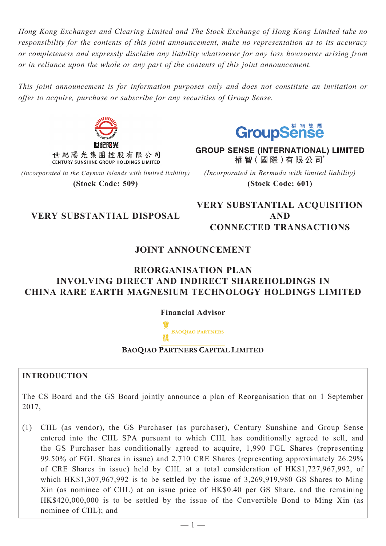*Hong Kong Exchanges and Clearing Limited and The Stock Exchange of Hong Kong Limited take no responsibility for the contents of this joint announcement, make no representation as to its accuracy or completeness and expressly disclaim any liability whatsoever for any loss howsoever arising from or in reliance upon the whole or any part of the contents of this joint announcement.*

*This joint announcement is for information purposes only and does not constitute an invitation or offer to acquire, purchase or subscribe for any securities of Group Sense.*



世紀陽光集團控股有限公司 CENTURY SUNSHINE GROUP HOLDINGS LIMITED

*(Incorporated in the Cayman Islands with limited liability)* **(Stock Code: 509)**



**GROUP SENSE (INTERNATIONAL) LIMITED** 權智(國際)有限公司 *(Incorporated in Bermuda with limited liability)*

**(Stock Code: 601)**

# **VERY SUBSTANTIAL DISPOSAL**

**VERY SUBSTANTIAL ACQUISITION AND CONNECTED TRANSACTIONS**

## **JOINT ANNOUNCEMENT**

## **REORGANISATION PLAN INVOLVING DIRECT AND INDIRECT SHAREHOLDINGS IN CHINA RARE EARTH MAGNESIUM TECHNOLOGY HOLDINGS LIMITED**

**Financial Advisor**



**BAOQIAO PARTNERS CAPITAL LIMITED** 

## **INTRODUCTION**

The CS Board and the GS Board jointly announce a plan of Reorganisation that on 1 September 2017,

(1) CIIL (as vendor), the GS Purchaser (as purchaser), Century Sunshine and Group Sense entered into the CIIL SPA pursuant to which CIIL has conditionally agreed to sell, and the GS Purchaser has conditionally agreed to acquire, 1,990 FGL Shares (representing 99.50% of FGL Shares in issue) and 2,710 CRE Shares (representing approximately 26.29% of CRE Shares in issue) held by CIIL at a total consideration of HK\$1,727,967,992, of which HK\$1,307,967,992 is to be settled by the issue of 3,269,919,980 GS Shares to Ming Xin (as nominee of CIIL) at an issue price of HK\$0.40 per GS Share, and the remaining HK\$420,000,000 is to be settled by the issue of the Convertible Bond to Ming Xin (as nominee of CIIL); and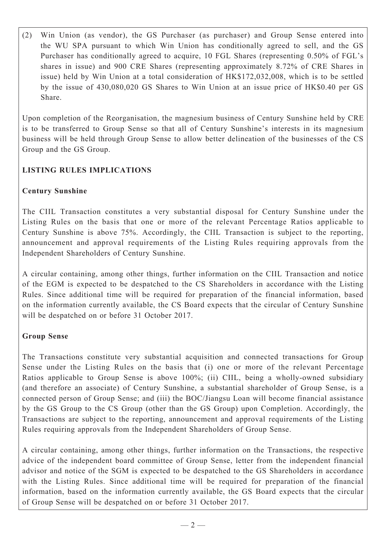(2) Win Union (as vendor), the GS Purchaser (as purchaser) and Group Sense entered into the WU SPA pursuant to which Win Union has conditionally agreed to sell, and the GS Purchaser has conditionally agreed to acquire, 10 FGL Shares (representing 0.50% of FGL's shares in issue) and 900 CRE Shares (representing approximately 8.72% of CRE Shares in issue) held by Win Union at a total consideration of HK\$172,032,008, which is to be settled by the issue of 430,080,020 GS Shares to Win Union at an issue price of HK\$0.40 per GS Share.

Upon completion of the Reorganisation, the magnesium business of Century Sunshine held by CRE is to be transferred to Group Sense so that all of Century Sunshine's interests in its magnesium business will be held through Group Sense to allow better delineation of the businesses of the CS Group and the GS Group.

## **LISTING RULES IMPLICATIONS**

### **Century Sunshine**

The CIIL Transaction constitutes a very substantial disposal for Century Sunshine under the Listing Rules on the basis that one or more of the relevant Percentage Ratios applicable to Century Sunshine is above 75%. Accordingly, the CIIL Transaction is subject to the reporting, announcement and approval requirements of the Listing Rules requiring approvals from the Independent Shareholders of Century Sunshine.

A circular containing, among other things, further information on the CIIL Transaction and notice of the EGM is expected to be despatched to the CS Shareholders in accordance with the Listing Rules. Since additional time will be required for preparation of the financial information, based on the information currently available, the CS Board expects that the circular of Century Sunshine will be despatched on or before 31 October 2017.

## **Group Sense**

The Transactions constitute very substantial acquisition and connected transactions for Group Sense under the Listing Rules on the basis that (i) one or more of the relevant Percentage Ratios applicable to Group Sense is above 100%; (ii) CIIL, being a wholly-owned subsidiary (and therefore an associate) of Century Sunshine, a substantial shareholder of Group Sense, is a connected person of Group Sense; and (iii) the BOC/Jiangsu Loan will become financial assistance by the GS Group to the CS Group (other than the GS Group) upon Completion. Accordingly, the Transactions are subject to the reporting, announcement and approval requirements of the Listing Rules requiring approvals from the Independent Shareholders of Group Sense.

A circular containing, among other things, further information on the Transactions, the respective advice of the independent board committee of Group Sense, letter from the independent financial advisor and notice of the SGM is expected to be despatched to the GS Shareholders in accordance with the Listing Rules. Since additional time will be required for preparation of the financial information, based on the information currently available, the GS Board expects that the circular of Group Sense will be despatched on or before 31 October 2017.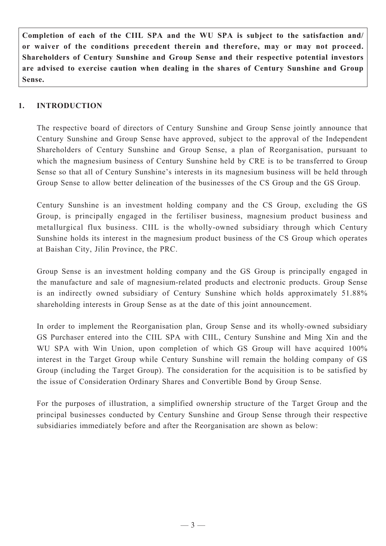**Completion of each of the CIIL SPA and the WU SPA is subject to the satisfaction and/ or waiver of the conditions precedent therein and therefore, may or may not proceed. Shareholders of Century Sunshine and Group Sense and their respective potential investors are advised to exercise caution when dealing in the shares of Century Sunshine and Group Sense.**

### **1. INTRODUCTION**

The respective board of directors of Century Sunshine and Group Sense jointly announce that Century Sunshine and Group Sense have approved, subject to the approval of the Independent Shareholders of Century Sunshine and Group Sense, a plan of Reorganisation, pursuant to which the magnesium business of Century Sunshine held by CRE is to be transferred to Group Sense so that all of Century Sunshine's interests in its magnesium business will be held through Group Sense to allow better delineation of the businesses of the CS Group and the GS Group.

Century Sunshine is an investment holding company and the CS Group, excluding the GS Group, is principally engaged in the fertiliser business, magnesium product business and metallurgical flux business. CIIL is the wholly-owned subsidiary through which Century Sunshine holds its interest in the magnesium product business of the CS Group which operates at Baishan City, Jilin Province, the PRC.

Group Sense is an investment holding company and the GS Group is principally engaged in the manufacture and sale of magnesium-related products and electronic products. Group Sense is an indirectly owned subsidiary of Century Sunshine which holds approximately 51.88% shareholding interests in Group Sense as at the date of this joint announcement.

In order to implement the Reorganisation plan, Group Sense and its wholly-owned subsidiary GS Purchaser entered into the CIIL SPA with CIIL, Century Sunshine and Ming Xin and the WU SPA with Win Union, upon completion of which GS Group will have acquired 100% interest in the Target Group while Century Sunshine will remain the holding company of GS Group (including the Target Group). The consideration for the acquisition is to be satisfied by the issue of Consideration Ordinary Shares and Convertible Bond by Group Sense.

For the purposes of illustration, a simplified ownership structure of the Target Group and the principal businesses conducted by Century Sunshine and Group Sense through their respective subsidiaries immediately before and after the Reorganisation are shown as below: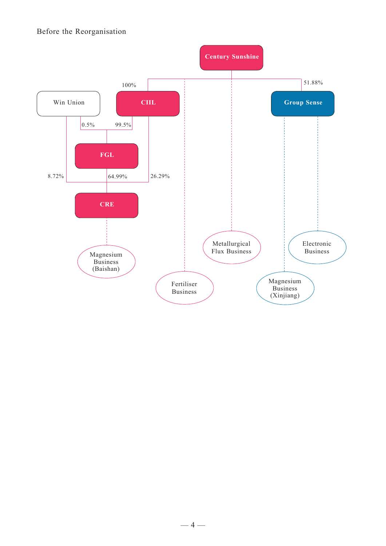#### Before the Reorganisation

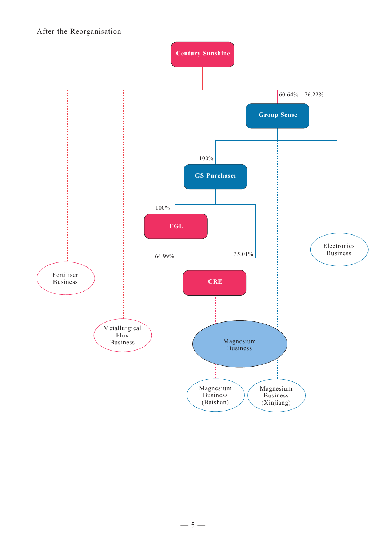#### After the Reorganisation

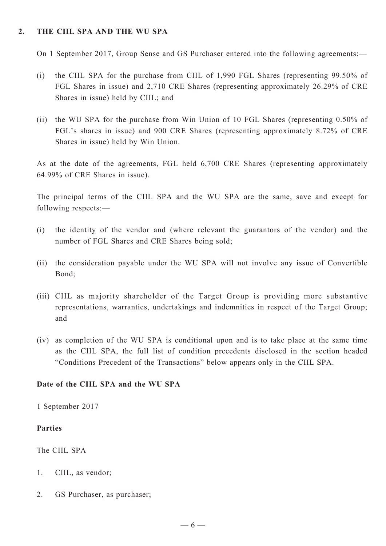#### **2. The CIIL SPA and the WU SPA**

On 1 September 2017, Group Sense and GS Purchaser entered into the following agreements:—

- (i) the CIIL SPA for the purchase from CIIL of 1,990 FGL Shares (representing 99.50% of FGL Shares in issue) and 2,710 CRE Shares (representing approximately 26.29% of CRE Shares in issue) held by CIIL; and
- (ii) the WU SPA for the purchase from Win Union of 10 FGL Shares (representing 0.50% of FGL's shares in issue) and 900 CRE Shares (representing approximately 8.72% of CRE Shares in issue) held by Win Union.

As at the date of the agreements, FGL held 6,700 CRE Shares (representing approximately 64.99% of CRE Shares in issue).

The principal terms of the CIIL SPA and the WU SPA are the same, save and except for following respects:—

- (i) the identity of the vendor and (where relevant the guarantors of the vendor) and the number of FGL Shares and CRE Shares being sold;
- (ii) the consideration payable under the WU SPA will not involve any issue of Convertible Bond;
- (iii) CIIL as majority shareholder of the Target Group is providing more substantive representations, warranties, undertakings and indemnities in respect of the Target Group; and
- (iv) as completion of the WU SPA is conditional upon and is to take place at the same time as the CIIL SPA, the full list of condition precedents disclosed in the section headed "Conditions Precedent of the Transactions" below appears only in the CIIL SPA.

#### **Date of the CIIL SPA and the WU SPA**

1 September 2017

#### **Parties**

The CIIL SPA

- 1. CIIL, as vendor;
- 2. GS Purchaser, as purchaser;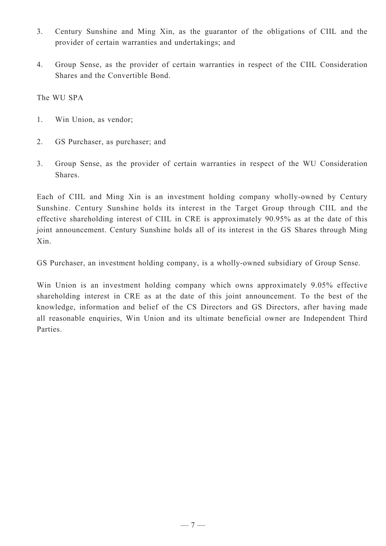- 3. Century Sunshine and Ming Xin, as the guarantor of the obligations of CIIL and the provider of certain warranties and undertakings; and
- 4. Group Sense, as the provider of certain warranties in respect of the CIIL Consideration Shares and the Convertible Bond.

The WU SPA

- 1. Win Union, as vendor;
- 2. GS Purchaser, as purchaser; and
- 3. Group Sense, as the provider of certain warranties in respect of the WU Consideration Shares.

Each of CIIL and Ming Xin is an investment holding company wholly-owned by Century Sunshine. Century Sunshine holds its interest in the Target Group through CIIL and the effective shareholding interest of CIIL in CRE is approximately 90.95% as at the date of this joint announcement. Century Sunshine holds all of its interest in the GS Shares through Ming Xin.

GS Purchaser, an investment holding company, is a wholly-owned subsidiary of Group Sense.

Win Union is an investment holding company which owns approximately 9.05% effective shareholding interest in CRE as at the date of this joint announcement. To the best of the knowledge, information and belief of the CS Directors and GS Directors, after having made all reasonable enquiries, Win Union and its ultimate beneficial owner are Independent Third Parties.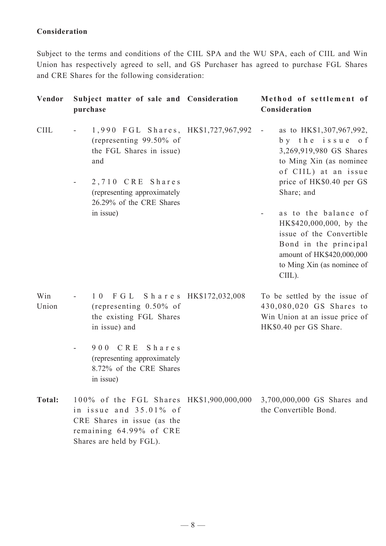### **Consideration**

Subject to the terms and conditions of the CIIL SPA and the WU SPA, each of CIIL and Win Union has respectively agreed to sell, and GS Purchaser has agreed to purchase FGL Shares and CRE Shares for the following consideration:

| Vendor       | Subject matter of sale and Consideration<br>purchase                                                                                                        | Method of settlement of<br>Consideration                                                                                                                                                        |
|--------------|-------------------------------------------------------------------------------------------------------------------------------------------------------------|-------------------------------------------------------------------------------------------------------------------------------------------------------------------------------------------------|
| <b>CIIL</b>  | 1,990 FGL Shares, HK\$1,727,967,992<br>(representing $99.50\%$ of<br>the FGL Shares in issue)<br>and<br>2,710 CRE Shares<br>(representing approximately     | as to HK\$1,307,967,992,<br>$\overline{\phantom{a}}$<br>by the issue of<br>3,269,919,980 GS Shares<br>to Ming Xin (as nominee<br>of CIIL) at an issue<br>price of HK\$0.40 per GS<br>Share; and |
|              | 26.29% of the CRE Shares<br>in issue)                                                                                                                       | as to the balance of<br>HK\$420,000,000, by the<br>issue of the Convertible<br>Bond in the principal<br>amount of HK\$420,000,000<br>to Ming Xin (as nominee of<br>CIIL).                       |
| Win<br>Union | 10 FGL Shares HK\$172,032,008<br>(representing $0.50\%$ of<br>the existing FGL Shares<br>in issue) and                                                      | To be settled by the issue of<br>430,080,020 GS Shares to<br>Win Union at an issue price of<br>HK\$0.40 per GS Share.                                                                           |
|              | 900 CRE Shares<br>(representing approximately<br>8.72% of the CRE Shares<br>in issue)                                                                       |                                                                                                                                                                                                 |
| Total:       | 100% of the FGL Shares HK\$1,900,000,000<br>in issue and $35.01\%$ of<br>CRE Shares in issue (as the<br>remaining 64.99% of CRE<br>Shares are held by FGL). | 3,700,000,000 GS Shares and<br>the Convertible Bond.                                                                                                                                            |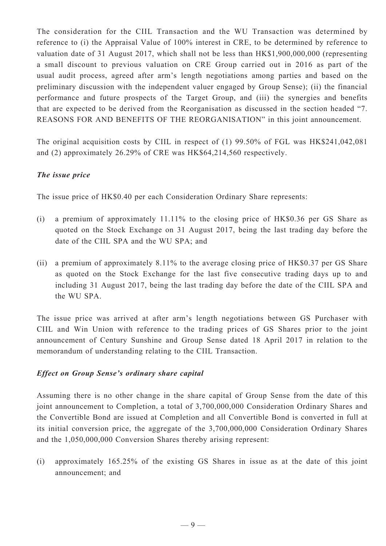The consideration for the CIIL Transaction and the WU Transaction was determined by reference to (i) the Appraisal Value of 100% interest in CRE, to be determined by reference to valuation date of 31 August 2017, which shall not be less than HK\$1,900,000,000 (representing a small discount to previous valuation on CRE Group carried out in 2016 as part of the usual audit process, agreed after arm's length negotiations among parties and based on the preliminary discussion with the independent valuer engaged by Group Sense); (ii) the financial performance and future prospects of the Target Group, and (iii) the synergies and benefits that are expected to be derived from the Reorganisation as discussed in the section headed "7. REASONS FOR AND BENEFITS OF THE REORGANISATION" in this joint announcement.

The original acquisition costs by CIIL in respect of (1) 99.50% of FGL was HK\$241,042,081 and (2) approximately 26.29% of CRE was HK\$64,214,560 respectively.

### *The issue price*

The issue price of HK\$0.40 per each Consideration Ordinary Share represents:

- (i) a premium of approximately 11.11% to the closing price of HK\$0.36 per GS Share as quoted on the Stock Exchange on 31 August 2017, being the last trading day before the date of the CIIL SPA and the WU SPA; and
- (ii) a premium of approximately 8.11% to the average closing price of HK\$0.37 per GS Share as quoted on the Stock Exchange for the last five consecutive trading days up to and including 31 August 2017, being the last trading day before the date of the CIIL SPA and the WU SPA.

The issue price was arrived at after arm's length negotiations between GS Purchaser with CIIL and Win Union with reference to the trading prices of GS Shares prior to the joint announcement of Century Sunshine and Group Sense dated 18 April 2017 in relation to the memorandum of understanding relating to the CIIL Transaction.

### *Effect on Group Sense's ordinary share capital*

Assuming there is no other change in the share capital of Group Sense from the date of this joint announcement to Completion, a total of 3,700,000,000 Consideration Ordinary Shares and the Convertible Bond are issued at Completion and all Convertible Bond is converted in full at its initial conversion price, the aggregate of the 3,700,000,000 Consideration Ordinary Shares and the 1,050,000,000 Conversion Shares thereby arising represent:

(i) approximately 165.25% of the existing GS Shares in issue as at the date of this joint announcement; and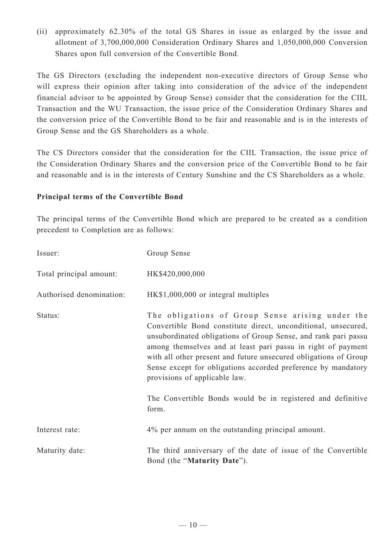(ii) approximately 62.30% of the total GS Shares in issue as enlarged by the issue and allotment of 3,700,000,000 Consideration Ordinary Shares and 1,050,000,000 Conversion Shares upon full conversion of the Convertible Bond.

The GS Directors (excluding the independent non-executive directors of Group Sense who will express their opinion after taking into consideration of the advice of the independent financial advisor to be appointed by Group Sense) consider that the consideration for the CIIL Transaction and the WU Transaction, the issue price of the Consideration Ordinary Shares and the conversion price of the Convertible Bond to be fair and reasonable and is in the interests of Group Sense and the GS Shareholders as a whole.

The CS Directors consider that the consideration for the CIIL Transaction, the issue price of the Consideration Ordinary Shares and the conversion price of the Convertible Bond to be fair and reasonable and is in the interests of Century Sunshine and the CS Shareholders as a whole.

#### **Principal terms of the Convertible Bond**

The principal terms of the Convertible Bond which are prepared to be created as a condition precedent to Completion are as follows:

| Issuer:                  | Group Sense                                                                                                                                                                                                                                                                                                                                                                                                                                                                                       |
|--------------------------|---------------------------------------------------------------------------------------------------------------------------------------------------------------------------------------------------------------------------------------------------------------------------------------------------------------------------------------------------------------------------------------------------------------------------------------------------------------------------------------------------|
| Total principal amount:  | HK\$420,000,000                                                                                                                                                                                                                                                                                                                                                                                                                                                                                   |
| Authorised denomination: | HK\$1,000,000 or integral multiples                                                                                                                                                                                                                                                                                                                                                                                                                                                               |
| Status:                  | The obligations of Group Sense arising under the<br>Convertible Bond constitute direct, unconditional, unsecured,<br>unsubordinated obligations of Group Sense, and rank pari passu<br>among themselves and at least pari passu in right of payment<br>with all other present and future unsecured obligations of Group<br>Sense except for obligations accorded preference by mandatory<br>provisions of applicable law.<br>The Convertible Bonds would be in registered and definitive<br>form. |
| Interest rate:           | 4% per annum on the outstanding principal amount.                                                                                                                                                                                                                                                                                                                                                                                                                                                 |
| Maturity date:           | The third anniversary of the date of issue of the Convertible<br>Bond (the "Maturity Date").                                                                                                                                                                                                                                                                                                                                                                                                      |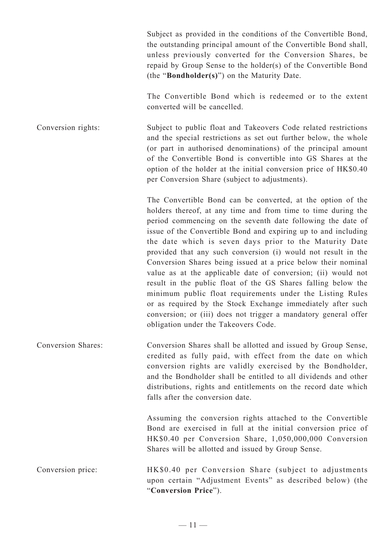Subject as provided in the conditions of the Convertible Bond, the outstanding principal amount of the Convertible Bond shall, unless previously converted for the Conversion Shares, be repaid by Group Sense to the holder(s) of the Convertible Bond (the "**Bondholder(s)**") on the Maturity Date.

The Convertible Bond which is redeemed or to the extent converted will be cancelled.

Conversion rights: Subject to public float and Takeovers Code related restrictions and the special restrictions as set out further below, the whole (or part in authorised denominations) of the principal amount of the Convertible Bond is convertible into GS Shares at the option of the holder at the initial conversion price of HK\$0.40 per Conversion Share (subject to adjustments).

> The Convertible Bond can be converted, at the option of the holders thereof, at any time and from time to time during the period commencing on the seventh date following the date of issue of the Convertible Bond and expiring up to and including the date which is seven days prior to the Maturity Date provided that any such conversion (i) would not result in the Conversion Shares being issued at a price below their nominal value as at the applicable date of conversion; (ii) would not result in the public float of the GS Shares falling below the minimum public float requirements under the Listing Rules or as required by the Stock Exchange immediately after such conversion; or (iii) does not trigger a mandatory general offer obligation under the Takeovers Code.

Conversion Shares: Conversion Shares shall be allotted and issued by Group Sense, credited as fully paid, with effect from the date on which conversion rights are validly exercised by the Bondholder, and the Bondholder shall be entitled to all dividends and other distributions, rights and entitlements on the record date which falls after the conversion date.

> Assuming the conversion rights attached to the Convertible Bond are exercised in full at the initial conversion price of HK\$0.40 per Conversion Share, 1,050,000,000 Conversion Shares will be allotted and issued by Group Sense.

Conversion price: HK\$0.40 per Conversion Share (subject to adjustments upon certain "Adjustment Events" as described below) (the "**Conversion Price**").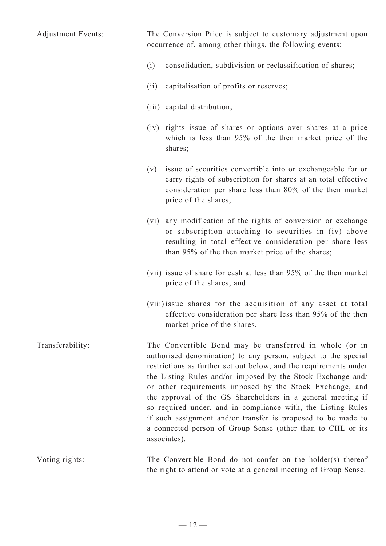Adjustment Events: The Conversion Price is subject to customary adjustment upon occurrence of, among other things, the following events: (i) consolidation, subdivision or reclassification of shares; (ii) capitalisation of profits or reserves; (iii) capital distribution; (iv) rights issue of shares or options over shares at a price which is less than 95% of the then market price of the shares; (v) issue of securities convertible into or exchangeable for or carry rights of subscription for shares at an total effective consideration per share less than 80% of the then market price of the shares; (vi) any modification of the rights of conversion or exchange or subscription attaching to securities in (iv) above resulting in total effective consideration per share less than 95% of the then market price of the shares; (vii) issue of share for cash at less than 95% of the then market price of the shares; and (viii) issue shares for the acquisition of any asset at total effective consideration per share less than 95% of the then market price of the shares. Transferability: The Convertible Bond may be transferred in whole (or in authorised denomination) to any person, subject to the special restrictions as further set out below, and the requirements under the Listing Rules and/or imposed by the Stock Exchange and/ or other requirements imposed by the Stock Exchange, and the approval of the GS Shareholders in a general meeting if so required under, and in compliance with, the Listing Rules if such assignment and/or transfer is proposed to be made to a connected person of Group Sense (other than to CIIL or its associates). Voting rights: The Convertible Bond do not confer on the holder(s) thereof the right to attend or vote at a general meeting of Group Sense.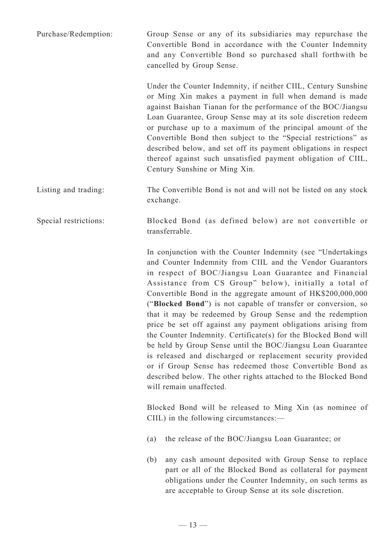Purchase/Redemption: Group Sense or any of its subsidiaries may repurchase the Convertible Bond in accordance with the Counter Indemnity and any Convertible Bond so purchased shall forthwith be cancelled by Group Sense.

> Under the Counter Indemnity, if neither CIIL, Century Sunshine or Ming Xin makes a payment in full when demand is made against Baishan Tianan for the performance of the BOC/Jiangsu Loan Guarantee, Group Sense may at its sole discretion redeem or purchase up to a maximum of the principal amount of the Convertible Bond then subject to the "Special restrictions" as described below, and set off its payment obligations in respect thereof against such unsatisfied payment obligation of CIIL, Century Sunshine or Ming Xin.

Listing and trading: The Convertible Bond is not and will not be listed on any stock exchange.

Special restrictions: Blocked Bond (as defined below) are not convertible or transferrable.

> In conjunction with the Counter Indemnity (see "Undertakings and Counter Indemnity from CIIL and the Vendor Guarantors in respect of BOC/Jiangsu Loan Guarantee and Financial Assistance from CS Group" below), initially a total of Convertible Bond in the aggregate amount of HK\$200,000,000 ("**Blocked Bond**") is not capable of transfer or conversion, so that it may be redeemed by Group Sense and the redemption price be set off against any payment obligations arising from the Counter Indemnity. Certificate(s) for the Blocked Bond will be held by Group Sense until the BOC/Jiangsu Loan Guarantee is released and discharged or replacement security provided or if Group Sense has redeemed those Convertible Bond as described below. The other rights attached to the Blocked Bond will remain unaffected.

> Blocked Bond will be released to Ming Xin (as nominee of CIIL) in the following circumstances:—

- (a) the release of the BOC/Jiangsu Loan Guarantee; or
- (b) any cash amount deposited with Group Sense to replace part or all of the Blocked Bond as collateral for payment obligations under the Counter Indemnity, on such terms as are acceptable to Group Sense at its sole discretion.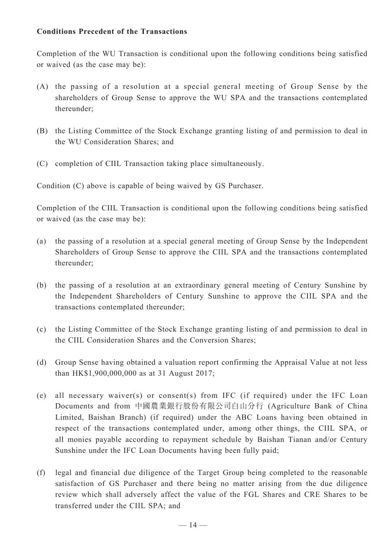#### **Conditions Precedent of the Transactions**

Completion of the WU Transaction is conditional upon the following conditions being satisfied or waived (as the case may be):

- (A) the passing of a resolution at a special general meeting of Group Sense by the shareholders of Group Sense to approve the WU SPA and the transactions contemplated thereunder;
- (B) the Listing Committee of the Stock Exchange granting listing of and permission to deal in the WU Consideration Shares; and
- (C) completion of CIIL Transaction taking place simultaneously.

Condition (C) above is capable of being waived by GS Purchaser.

Completion of the CIIL Transaction is conditional upon the following conditions being satisfied or waived (as the case may be):

- (a) the passing of a resolution at a special general meeting of Group Sense by the Independent Shareholders of Group Sense to approve the CIIL SPA and the transactions contemplated thereunder;
- (b) the passing of a resolution at an extraordinary general meeting of Century Sunshine by the Independent Shareholders of Century Sunshine to approve the CIIL SPA and the transactions contemplated thereunder;
- (c) the Listing Committee of the Stock Exchange granting listing of and permission to deal in the CIIL Consideration Shares and the Conversion Shares;
- (d) Group Sense having obtained a valuation report confirming the Appraisal Value at not less than HK\$1,900,000,000 as at 31 August 2017;
- (e) all necessary waiver(s) or consent(s) from IFC (if required) under the IFC Loan Documents and from 中國農業銀行股份有限公司白山分行 (Agriculture Bank of China Limited, Baishan Branch) (if required) under the ABC Loans having been obtained in respect of the transactions contemplated under, among other things, the CIIL SPA, or all monies payable according to repayment schedule by Baishan Tianan and/or Century Sunshine under the IFC Loan Documents having been fully paid;
- (f) legal and financial due diligence of the Target Group being completed to the reasonable satisfaction of GS Purchaser and there being no matter arising from the due diligence review which shall adversely affect the value of the FGL Shares and CRE Shares to be transferred under the CIIL SPA; and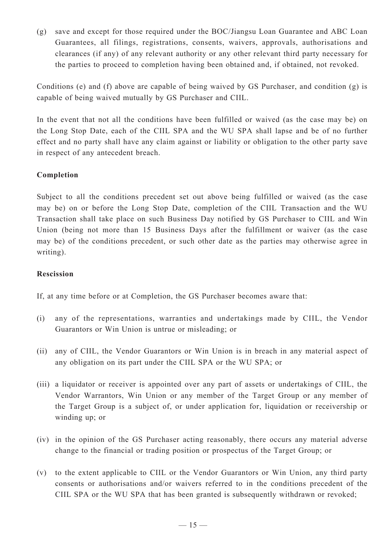(g) save and except for those required under the BOC/Jiangsu Loan Guarantee and ABC Loan Guarantees, all filings, registrations, consents, waivers, approvals, authorisations and clearances (if any) of any relevant authority or any other relevant third party necessary for the parties to proceed to completion having been obtained and, if obtained, not revoked.

Conditions (e) and (f) above are capable of being waived by GS Purchaser, and condition (g) is capable of being waived mutually by GS Purchaser and CIIL.

In the event that not all the conditions have been fulfilled or waived (as the case may be) on the Long Stop Date, each of the CIIL SPA and the WU SPA shall lapse and be of no further effect and no party shall have any claim against or liability or obligation to the other party save in respect of any antecedent breach.

### **Completion**

Subject to all the conditions precedent set out above being fulfilled or waived (as the case may be) on or before the Long Stop Date, completion of the CIIL Transaction and the WU Transaction shall take place on such Business Day notified by GS Purchaser to CIIL and Win Union (being not more than 15 Business Days after the fulfillment or waiver (as the case may be) of the conditions precedent, or such other date as the parties may otherwise agree in writing).

#### **Rescission**

If, at any time before or at Completion, the GS Purchaser becomes aware that:

- (i) any of the representations, warranties and undertakings made by CIIL, the Vendor Guarantors or Win Union is untrue or misleading; or
- (ii) any of CIIL, the Vendor Guarantors or Win Union is in breach in any material aspect of any obligation on its part under the CIIL SPA or the WU SPA; or
- (iii) a liquidator or receiver is appointed over any part of assets or undertakings of CIIL, the Vendor Warrantors, Win Union or any member of the Target Group or any member of the Target Group is a subject of, or under application for, liquidation or receivership or winding up; or
- (iv) in the opinion of the GS Purchaser acting reasonably, there occurs any material adverse change to the financial or trading position or prospectus of the Target Group; or
- (v) to the extent applicable to CIIL or the Vendor Guarantors or Win Union, any third party consents or authorisations and/or waivers referred to in the conditions precedent of the CIIL SPA or the WU SPA that has been granted is subsequently withdrawn or revoked;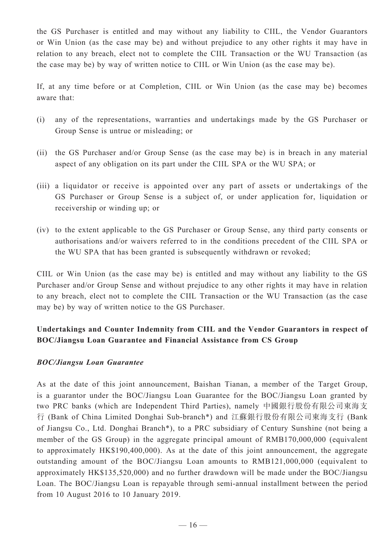the GS Purchaser is entitled and may without any liability to CIIL, the Vendor Guarantors or Win Union (as the case may be) and without prejudice to any other rights it may have in relation to any breach, elect not to complete the CIIL Transaction or the WU Transaction (as the case may be) by way of written notice to CIIL or Win Union (as the case may be).

If, at any time before or at Completion, CIIL or Win Union (as the case may be) becomes aware that:

- (i) any of the representations, warranties and undertakings made by the GS Purchaser or Group Sense is untrue or misleading; or
- (ii) the GS Purchaser and/or Group Sense (as the case may be) is in breach in any material aspect of any obligation on its part under the CIIL SPA or the WU SPA; or
- (iii) a liquidator or receive is appointed over any part of assets or undertakings of the GS Purchaser or Group Sense is a subject of, or under application for, liquidation or receivership or winding up; or
- (iv) to the extent applicable to the GS Purchaser or Group Sense, any third party consents or authorisations and/or waivers referred to in the conditions precedent of the CIIL SPA or the WU SPA that has been granted is subsequently withdrawn or revoked;

CIIL or Win Union (as the case may be) is entitled and may without any liability to the GS Purchaser and/or Group Sense and without prejudice to any other rights it may have in relation to any breach, elect not to complete the CIIL Transaction or the WU Transaction (as the case may be) by way of written notice to the GS Purchaser.

## **Undertakings and Counter Indemnity from CIIL and the Vendor Guarantors in respect of BOC/Jiangsu Loan Guarantee and Financial Assistance from CS Group**

### *BOC/Jiangsu Loan Guarantee*

As at the date of this joint announcement, Baishan Tianan, a member of the Target Group, is a guarantor under the BOC/Jiangsu Loan Guarantee for the BOC/Jiangsu Loan granted by two PRC banks (which are Independent Third Parties), namely 中國銀行股份有限公司東海支 行 (Bank of China Limited Donghai Sub-branch\*) and 江蘇銀行股份有限公司東海支行 (Bank of Jiangsu Co., Ltd. Donghai Branch\*), to a PRC subsidiary of Century Sunshine (not being a member of the GS Group) in the aggregate principal amount of RMB170,000,000 (equivalent to approximately HK\$190,400,000). As at the date of this joint announcement, the aggregate outstanding amount of the BOC/Jiangsu Loan amounts to RMB121,000,000 (equivalent to approximately HK\$135,520,000) and no further drawdown will be made under the BOC/Jiangsu Loan. The BOC/Jiangsu Loan is repayable through semi-annual installment between the period from 10 August 2016 to 10 January 2019.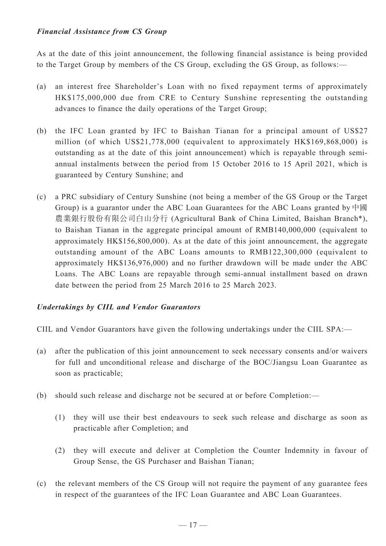### *Financial Assistance from CS Group*

As at the date of this joint announcement, the following financial assistance is being provided to the Target Group by members of the CS Group, excluding the GS Group, as follows:—

- (a) an interest free Shareholder's Loan with no fixed repayment terms of approximately HK\$175,000,000 due from CRE to Century Sunshine representing the outstanding advances to finance the daily operations of the Target Group;
- (b) the IFC Loan granted by IFC to Baishan Tianan for a principal amount of US\$27 million (of which US\$21,778,000 (equivalent to approximately HK\$169,868,000) is outstanding as at the date of this joint announcement) which is repayable through semiannual instalments between the period from 15 October 2016 to 15 April 2021, which is guaranteed by Century Sunshine; and
- (c) a PRC subsidiary of Century Sunshine (not being a member of the GS Group or the Target Group) is a guarantor under the ABC Loan Guarantees for the ABC Loans granted by 中國 農業銀行股份有限公司白山分行 (Agricultural Bank of China Limited, Baishan Branch\*), to Baishan Tianan in the aggregate principal amount of RMB140,000,000 (equivalent to approximately HK\$156,800,000). As at the date of this joint announcement, the aggregate outstanding amount of the ABC Loans amounts to RMB122,300,000 (equivalent to approximately HK\$136,976,000) and no further drawdown will be made under the ABC Loans. The ABC Loans are repayable through semi-annual installment based on drawn date between the period from 25 March 2016 to 25 March 2023.

### *Undertakings by CIIL and Vendor Guarantors*

CIIL and Vendor Guarantors have given the following undertakings under the CIIL SPA:—

- (a) after the publication of this joint announcement to seek necessary consents and/or waivers for full and unconditional release and discharge of the BOC/Jiangsu Loan Guarantee as soon as practicable;
- (b) should such release and discharge not be secured at or before Completion:—
	- (1) they will use their best endeavours to seek such release and discharge as soon as practicable after Completion; and
	- (2) they will execute and deliver at Completion the Counter Indemnity in favour of Group Sense, the GS Purchaser and Baishan Tianan;
- (c) the relevant members of the CS Group will not require the payment of any guarantee fees in respect of the guarantees of the IFC Loan Guarantee and ABC Loan Guarantees.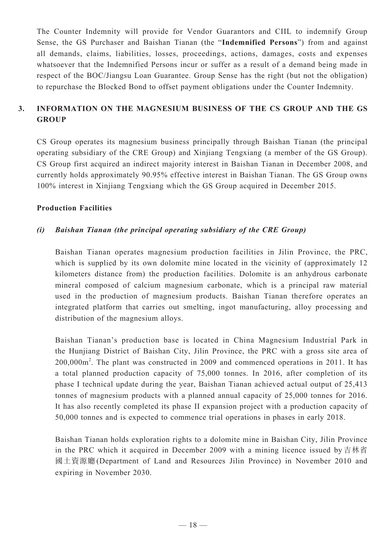The Counter Indemnity will provide for Vendor Guarantors and CIIL to indemnify Group Sense, the GS Purchaser and Baishan Tianan (the "**Indemnified Persons**") from and against all demands, claims, liabilities, losses, proceedings, actions, damages, costs and expenses whatsoever that the Indemnified Persons incur or suffer as a result of a demand being made in respect of the BOC/Jiangsu Loan Guarantee. Group Sense has the right (but not the obligation) to repurchase the Blocked Bond to offset payment obligations under the Counter Indemnity.

## **3. INFORMATION ON THE MAGNESIUM BUSINESS OF THE CS GROUP AND THE GS GROUP**

CS Group operates its magnesium business principally through Baishan Tianan (the principal operating subsidiary of the CRE Group) and Xinjiang Tengxiang (a member of the GS Group). CS Group first acquired an indirect majority interest in Baishan Tianan in December 2008, and currently holds approximately 90.95% effective interest in Baishan Tianan. The GS Group owns 100% interest in Xinjiang Tengxiang which the GS Group acquired in December 2015.

#### **Production Facilities**

### *(i) Baishan Tianan (the principal operating subsidiary of the CRE Group)*

Baishan Tianan operates magnesium production facilities in Jilin Province, the PRC, which is supplied by its own dolomite mine located in the vicinity of (approximately 12) kilometers distance from) the production facilities. Dolomite is an anhydrous carbonate mineral composed of calcium magnesium carbonate, which is a principal raw material used in the production of magnesium products. Baishan Tianan therefore operates an integrated platform that carries out smelting, ingot manufacturing, alloy processing and distribution of the magnesium alloys.

Baishan Tianan's production base is located in China Magnesium Industrial Park in the Hunjiang District of Baishan City, Jilin Province, the PRC with a gross site area of 200,000m<sup>2</sup>. The plant was constructed in 2009 and commenced operations in 2011. It has a total planned production capacity of 75,000 tonnes. In 2016, after completion of its phase I technical update during the year, Baishan Tianan achieved actual output of 25,413 tonnes of magnesium products with a planned annual capacity of 25,000 tonnes for 2016. It has also recently completed its phase II expansion project with a production capacity of 50,000 tonnes and is expected to commence trial operations in phases in early 2018.

Baishan Tianan holds exploration rights to a dolomite mine in Baishan City, Jilin Province in the PRC which it acquired in December 2009 with a mining licence issued by 吉林省 國土資源廳(Department of Land and Resources Jilin Province) in November 2010 and expiring in November 2030.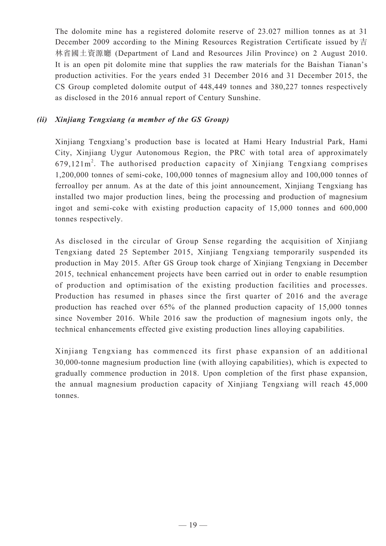The dolomite mine has a registered dolomite reserve of 23.027 million tonnes as at 31 December 2009 according to the Mining Resources Registration Certificate issued by 吉 林省國土資源廳 (Department of Land and Resources Jilin Province) on 2 August 2010. It is an open pit dolomite mine that supplies the raw materials for the Baishan Tianan's production activities. For the years ended 31 December 2016 and 31 December 2015, the CS Group completed dolomite output of 448,449 tonnes and 380,227 tonnes respectively as disclosed in the 2016 annual report of Century Sunshine.

### *(ii) Xinjiang Tengxiang (a member of the GS Group)*

Xinjiang Tengxiang's production base is located at Hami Heary Industrial Park, Hami City, Xinjiang Uygur Autonomous Region, the PRC with total area of approximately  $679,121 \text{ m}^2$ . The authorised production capacity of Xinjiang Tengxiang comprises 1,200,000 tonnes of semi-coke, 100,000 tonnes of magnesium alloy and 100,000 tonnes of ferroalloy per annum. As at the date of this joint announcement, Xinjiang Tengxiang has installed two major production lines, being the processing and production of magnesium ingot and semi-coke with existing production capacity of 15,000 tonnes and 600,000 tonnes respectively.

As disclosed in the circular of Group Sense regarding the acquisition of Xinjiang Tengxiang dated 25 September 2015, Xinjiang Tengxiang temporarily suspended its production in May 2015. After GS Group took charge of Xinjiang Tengxiang in December 2015, technical enhancement projects have been carried out in order to enable resumption of production and optimisation of the existing production facilities and processes. Production has resumed in phases since the first quarter of 2016 and the average production has reached over 65% of the planned production capacity of 15,000 tonnes since November 2016. While 2016 saw the production of magnesium ingots only, the technical enhancements effected give existing production lines alloying capabilities.

Xinjiang Tengxiang has commenced its first phase expansion of an additional 30,000-tonne magnesium production line (with alloying capabilities), which is expected to gradually commence production in 2018. Upon completion of the first phase expansion, the annual magnesium production capacity of Xinjiang Tengxiang will reach 45,000 tonnes.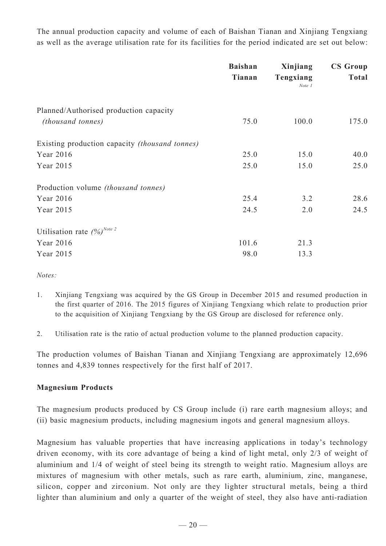The annual production capacity and volume of each of Baishan Tianan and Xinjiang Tengxiang as well as the average utilisation rate for its facilities for the period indicated are set out below:

|                                                                    | <b>Baishan</b><br>Tianan | Xinjiang<br>Tengxiang<br>$Note\;I$ | <b>CS Group</b><br><b>Total</b> |
|--------------------------------------------------------------------|--------------------------|------------------------------------|---------------------------------|
| Planned/Authorised production capacity<br><i>(thousand tonnes)</i> | 75.0                     | 100.0                              | 175.0                           |
| Existing production capacity <i>(thousand tonnes)</i>              |                          |                                    |                                 |
| Year 2016                                                          | 25.0                     | 15.0                               | 40.0                            |
| Year 2015                                                          | 25.0                     | 15.0                               | 25.0                            |
| Production volume <i>(thousand tonnes)</i>                         |                          |                                    |                                 |
| Year 2016                                                          | 25.4                     | 3.2                                | 28.6                            |
| Year 2015                                                          | 24.5                     | 2.0                                | 24.5                            |
| Utilisation rate $(%)^{Note 2}$                                    |                          |                                    |                                 |
| Year 2016                                                          | 101.6                    | 21.3                               |                                 |
| Year 2015                                                          | 98.0                     | 13.3                               |                                 |

*Notes:*

- 1. Xinjiang Tengxiang was acquired by the GS Group in December 2015 and resumed production in the first quarter of 2016. The 2015 figures of Xinjiang Tengxiang which relate to production prior to the acquisition of Xinjiang Tengxiang by the GS Group are disclosed for reference only.
- 2. Utilisation rate is the ratio of actual production volume to the planned production capacity.

The production volumes of Baishan Tianan and Xinjiang Tengxiang are approximately 12,696 tonnes and 4,839 tonnes respectively for the first half of 2017.

### **Magnesium Products**

The magnesium products produced by CS Group include (i) rare earth magnesium alloys; and (ii) basic magnesium products, including magnesium ingots and general magnesium alloys.

Magnesium has valuable properties that have increasing applications in today's technology driven economy, with its core advantage of being a kind of light metal, only 2/3 of weight of aluminium and 1/4 of weight of steel being its strength to weight ratio. Magnesium alloys are mixtures of magnesium with other metals, such as rare earth, aluminium, zinc, manganese, silicon, copper and zirconium. Not only are they lighter structural metals, being a third lighter than aluminium and only a quarter of the weight of steel, they also have anti-radiation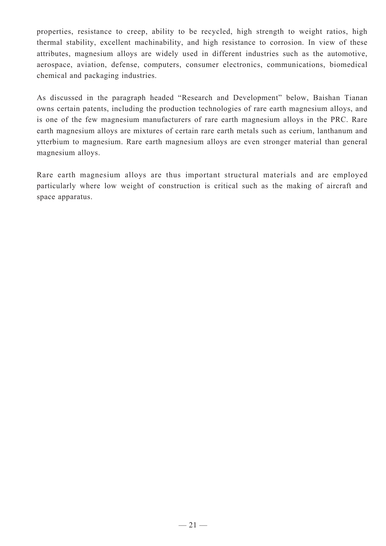properties, resistance to creep, ability to be recycled, high strength to weight ratios, high thermal stability, excellent machinability, and high resistance to corrosion. In view of these attributes, magnesium alloys are widely used in different industries such as the automotive, aerospace, aviation, defense, computers, consumer electronics, communications, biomedical chemical and packaging industries.

As discussed in the paragraph headed "Research and Development" below, Baishan Tianan owns certain patents, including the production technologies of rare earth magnesium alloys, and is one of the few magnesium manufacturers of rare earth magnesium alloys in the PRC. Rare earth magnesium alloys are mixtures of certain rare earth metals such as cerium, lanthanum and ytterbium to magnesium. Rare earth magnesium alloys are even stronger material than general magnesium alloys.

Rare earth magnesium alloys are thus important structural materials and are employed particularly where low weight of construction is critical such as the making of aircraft and space apparatus.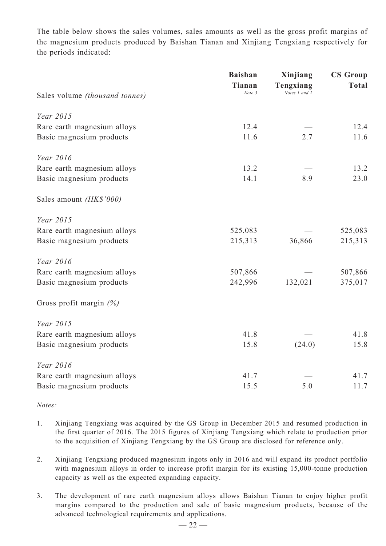The table below shows the sales volumes, sales amounts as well as the gross profit margins of the magnesium products produced by Baishan Tianan and Xinjiang Tengxiang respectively for the periods indicated:

|                                | <b>Baishan</b><br>Tianan | Xinjiang<br>Tengxiang | <b>CS Group</b><br><b>Total</b> |
|--------------------------------|--------------------------|-----------------------|---------------------------------|
| Sales volume (thousand tonnes) | Note 3                   | Notes 1 and 2         |                                 |
| Year 2015                      |                          |                       |                                 |
| Rare earth magnesium alloys    | 12.4                     |                       | 12.4                            |
| Basic magnesium products       | 11.6                     | 2.7                   | 11.6                            |
| Year 2016                      |                          |                       |                                 |
| Rare earth magnesium alloys    | 13.2                     |                       | 13.2                            |
| Basic magnesium products       | 14.1                     | 8.9                   | 23.0                            |
| Sales amount (HK\$'000)        |                          |                       |                                 |
| Year 2015                      |                          |                       |                                 |
| Rare earth magnesium alloys    | 525,083                  |                       | 525,083                         |
| Basic magnesium products       | 215,313                  | 36,866                | 215,313                         |
| Year 2016                      |                          |                       |                                 |
| Rare earth magnesium alloys    | 507,866                  |                       | 507,866                         |
| Basic magnesium products       | 242,996                  | 132,021               | 375,017                         |
| Gross profit margin $(%)$      |                          |                       |                                 |
| Year 2015                      |                          |                       |                                 |
| Rare earth magnesium alloys    | 41.8                     |                       | 41.8                            |
| Basic magnesium products       | 15.8                     | (24.0)                | 15.8                            |
| Year 2016                      |                          |                       |                                 |
| Rare earth magnesium alloys    | 41.7                     |                       | 41.7                            |
| Basic magnesium products       | 15.5                     | 5.0                   | 11.7                            |

*Notes:*

- 1. Xinjiang Tengxiang was acquired by the GS Group in December 2015 and resumed production in the first quarter of 2016. The 2015 figures of Xinjiang Tengxiang which relate to production prior to the acquisition of Xinjiang Tengxiang by the GS Group are disclosed for reference only.
- 2. Xinjiang Tengxiang produced magnesium ingots only in 2016 and will expand its product portfolio with magnesium alloys in order to increase profit margin for its existing 15,000-tonne production capacity as well as the expected expanding capacity.
- 3. The development of rare earth magnesium alloys allows Baishan Tianan to enjoy higher profit margins compared to the production and sale of basic magnesium products, because of the advanced technological requirements and applications.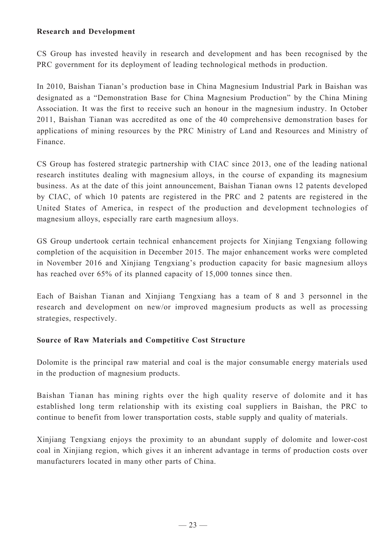#### **Research and Development**

CS Group has invested heavily in research and development and has been recognised by the PRC government for its deployment of leading technological methods in production.

In 2010, Baishan Tianan's production base in China Magnesium Industrial Park in Baishan was designated as a "Demonstration Base for China Magnesium Production" by the China Mining Association. It was the first to receive such an honour in the magnesium industry. In October 2011, Baishan Tianan was accredited as one of the 40 comprehensive demonstration bases for applications of mining resources by the PRC Ministry of Land and Resources and Ministry of Finance.

CS Group has fostered strategic partnership with CIAC since 2013, one of the leading national research institutes dealing with magnesium alloys, in the course of expanding its magnesium business. As at the date of this joint announcement, Baishan Tianan owns 12 patents developed by CIAC, of which 10 patents are registered in the PRC and 2 patents are registered in the United States of America, in respect of the production and development technologies of magnesium alloys, especially rare earth magnesium alloys.

GS Group undertook certain technical enhancement projects for Xinjiang Tengxiang following completion of the acquisition in December 2015. The major enhancement works were completed in November 2016 and Xinjiang Tengxiang's production capacity for basic magnesium alloys has reached over 65% of its planned capacity of 15,000 tonnes since then.

Each of Baishan Tianan and Xinjiang Tengxiang has a team of 8 and 3 personnel in the research and development on new/or improved magnesium products as well as processing strategies, respectively.

### **Source of Raw Materials and Competitive Cost Structure**

Dolomite is the principal raw material and coal is the major consumable energy materials used in the production of magnesium products.

Baishan Tianan has mining rights over the high quality reserve of dolomite and it has established long term relationship with its existing coal suppliers in Baishan, the PRC to continue to benefit from lower transportation costs, stable supply and quality of materials.

Xinjiang Tengxiang enjoys the proximity to an abundant supply of dolomite and lower-cost coal in Xinjiang region, which gives it an inherent advantage in terms of production costs over manufacturers located in many other parts of China.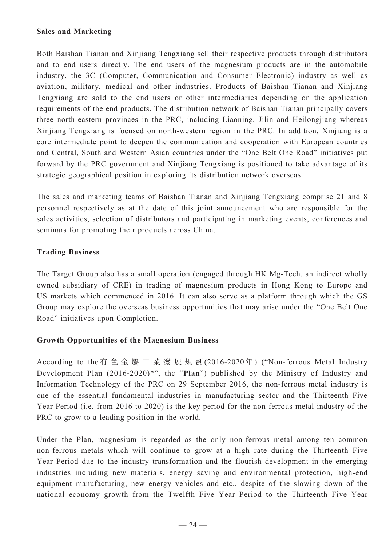#### **Sales and Marketing**

Both Baishan Tianan and Xinjiang Tengxiang sell their respective products through distributors and to end users directly. The end users of the magnesium products are in the automobile industry, the 3C (Computer, Communication and Consumer Electronic) industry as well as aviation, military, medical and other industries. Products of Baishan Tianan and Xinjiang Tengxiang are sold to the end users or other intermediaries depending on the application requirements of the end products. The distribution network of Baishan Tianan principally covers three north-eastern provinces in the PRC, including Liaoning, Jilin and Heilongjiang whereas Xinjiang Tengxiang is focused on north-western region in the PRC. In addition, Xinjiang is a core intermediate point to deepen the communication and cooperation with European countries and Central, South and Western Asian countries under the "One Belt One Road" initiatives put forward by the PRC government and Xinjiang Tengxiang is positioned to take advantage of its strategic geographical position in exploring its distribution network overseas.

The sales and marketing teams of Baishan Tianan and Xinjiang Tengxiang comprise 21 and 8 personnel respectively as at the date of this joint announcement who are responsible for the sales activities, selection of distributors and participating in marketing events, conferences and seminars for promoting their products across China.

### **Trading Business**

The Target Group also has a small operation (engaged through HK Mg-Tech, an indirect wholly owned subsidiary of CRE) in trading of magnesium products in Hong Kong to Europe and US markets which commenced in 2016. It can also serve as a platform through which the GS Group may explore the overseas business opportunities that may arise under the "One Belt One Road" initiatives upon Completion.

### **Growth Opportunities of the Magnesium Business**

According to the有 色 金 屬 工 業 發 展 規 劃(2016-2020年) ("Non-ferrous Metal Industry Development Plan (2016-2020)\*", the "**Plan**") published by the Ministry of Industry and Information Technology of the PRC on 29 September 2016, the non-ferrous metal industry is one of the essential fundamental industries in manufacturing sector and the Thirteenth Five Year Period (i.e. from 2016 to 2020) is the key period for the non-ferrous metal industry of the PRC to grow to a leading position in the world.

Under the Plan, magnesium is regarded as the only non-ferrous metal among ten common non-ferrous metals which will continue to grow at a high rate during the Thirteenth Five Year Period due to the industry transformation and the flourish development in the emerging industries including new materials, energy saving and environmental protection, high-end equipment manufacturing, new energy vehicles and etc., despite of the slowing down of the national economy growth from the Twelfth Five Year Period to the Thirteenth Five Year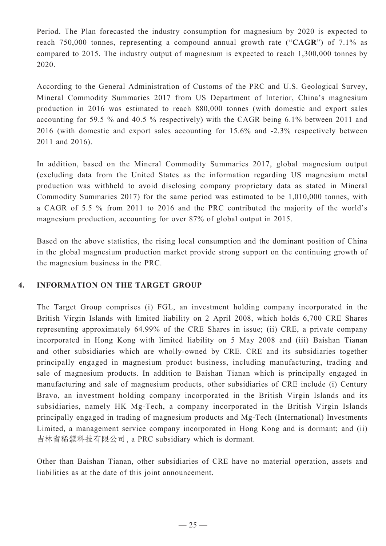Period. The Plan forecasted the industry consumption for magnesium by 2020 is expected to reach 750,000 tonnes, representing a compound annual growth rate ("**CAGR**") of 7.1% as compared to 2015. The industry output of magnesium is expected to reach 1,300,000 tonnes by 2020.

According to the General Administration of Customs of the PRC and U.S. Geological Survey, Mineral Commodity Summaries 2017 from US Department of Interior, China's magnesium production in 2016 was estimated to reach 880,000 tonnes (with domestic and export sales accounting for 59.5 % and 40.5 % respectively) with the CAGR being 6.1% between 2011 and 2016 (with domestic and export sales accounting for 15.6% and -2.3% respectively between 2011 and 2016).

In addition, based on the Mineral Commodity Summaries 2017, global magnesium output (excluding data from the United States as the information regarding US magnesium metal production was withheld to avoid disclosing company proprietary data as stated in Mineral Commodity Summaries 2017) for the same period was estimated to be 1,010,000 tonnes, with a CAGR of 5.5 % from 2011 to 2016 and the PRC contributed the majority of the world's magnesium production, accounting for over 87% of global output in 2015.

Based on the above statistics, the rising local consumption and the dominant position of China in the global magnesium production market provide strong support on the continuing growth of the magnesium business in the PRC.

### **4. INFORMATION ON THE TARGET GROUP**

The Target Group comprises (i) FGL, an investment holding company incorporated in the British Virgin Islands with limited liability on 2 April 2008, which holds 6,700 CRE Shares representing approximately 64.99% of the CRE Shares in issue; (ii) CRE, a private company incorporated in Hong Kong with limited liability on 5 May 2008 and (iii) Baishan Tianan and other subsidiaries which are wholly-owned by CRE. CRE and its subsidiaries together principally engaged in magnesium product business, including manufacturing, trading and sale of magnesium products. In addition to Baishan Tianan which is principally engaged in manufacturing and sale of magnesium products, other subsidiaries of CRE include (i) Century Bravo, an investment holding company incorporated in the British Virgin Islands and its subsidiaries, namely HK Mg-Tech, a company incorporated in the British Virgin Islands principally engaged in trading of magnesium products and Mg-Tech (International) Investments Limited, a management service company incorporated in Hong Kong and is dormant; and (ii) 吉林省稀鎂科技有限公司, a PRC subsidiary which is dormant.

Other than Baishan Tianan, other subsidiaries of CRE have no material operation, assets and liabilities as at the date of this joint announcement.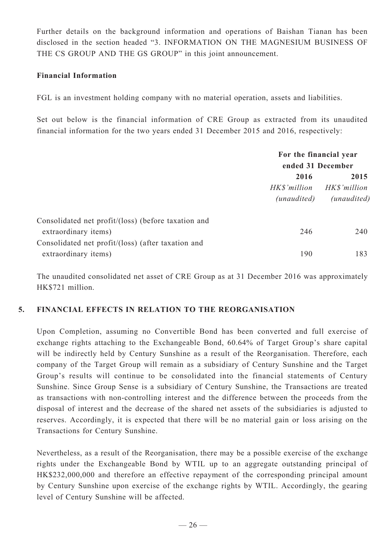Further details on the background information and operations of Baishan Tianan has been disclosed in the section headed "3. INFORMATION ON THE MAGNESIUM BUSINESS OF THE CS GROUP AND THE GS GROUP" in this joint announcement.

#### **Financial Information**

FGL is an investment holding company with no material operation, assets and liabilities.

Set out below is the financial information of CRE Group as extracted from its unaudited financial information for the two years ended 31 December 2015 and 2016, respectively:

|                                                     | For the financial year<br>ended 31 December |                      |
|-----------------------------------------------------|---------------------------------------------|----------------------|
|                                                     | 2016<br>HK\$'million                        | 2015<br>HK\$'million |
|                                                     | (unaudited)                                 | (unaudited)          |
| Consolidated net profit/(loss) (before taxation and |                                             |                      |
| extraordinary items)                                | 246                                         | 240                  |
| Consolidated net profit/(loss) (after taxation and  |                                             |                      |
| extraordinary items)                                | 190                                         | 183                  |

The unaudited consolidated net asset of CRE Group as at 31 December 2016 was approximately HK\$721 million.

#### **5. FINANCIAL EFFECTS IN RELATION TO THE REORGANISATION**

Upon Completion, assuming no Convertible Bond has been converted and full exercise of exchange rights attaching to the Exchangeable Bond, 60.64% of Target Group's share capital will be indirectly held by Century Sunshine as a result of the Reorganisation. Therefore, each company of the Target Group will remain as a subsidiary of Century Sunshine and the Target Group's results will continue to be consolidated into the financial statements of Century Sunshine. Since Group Sense is a subsidiary of Century Sunshine, the Transactions are treated as transactions with non-controlling interest and the difference between the proceeds from the disposal of interest and the decrease of the shared net assets of the subsidiaries is adjusted to reserves. Accordingly, it is expected that there will be no material gain or loss arising on the Transactions for Century Sunshine.

Nevertheless, as a result of the Reorganisation, there may be a possible exercise of the exchange rights under the Exchangeable Bond by WTIL up to an aggregate outstanding principal of HK\$232,000,000 and therefore an effective repayment of the corresponding principal amount by Century Sunshine upon exercise of the exchange rights by WTIL. Accordingly, the gearing level of Century Sunshine will be affected.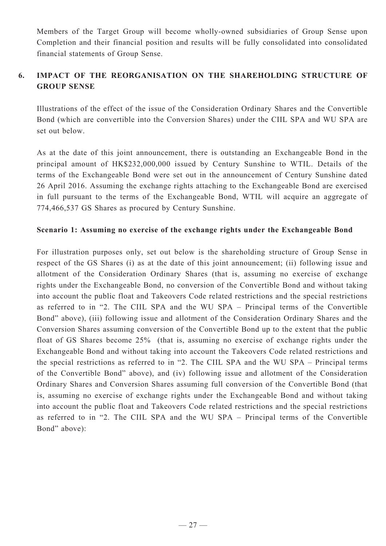Members of the Target Group will become wholly-owned subsidiaries of Group Sense upon Completion and their financial position and results will be fully consolidated into consolidated financial statements of Group Sense.

## **6. IMPACT OF THE REORGANISATION ON THE SHAREHOLDING STRUCTURE OF GROUP SENSE**

Illustrations of the effect of the issue of the Consideration Ordinary Shares and the Convertible Bond (which are convertible into the Conversion Shares) under the CIIL SPA and WU SPA are set out below.

As at the date of this joint announcement, there is outstanding an Exchangeable Bond in the principal amount of HK\$232,000,000 issued by Century Sunshine to WTIL. Details of the terms of the Exchangeable Bond were set out in the announcement of Century Sunshine dated 26 April 2016. Assuming the exchange rights attaching to the Exchangeable Bond are exercised in full pursuant to the terms of the Exchangeable Bond, WTIL will acquire an aggregate of 774,466,537 GS Shares as procured by Century Sunshine.

#### **Scenario 1: Assuming no exercise of the exchange rights under the Exchangeable Bond**

For illustration purposes only, set out below is the shareholding structure of Group Sense in respect of the GS Shares (i) as at the date of this joint announcement; (ii) following issue and allotment of the Consideration Ordinary Shares (that is, assuming no exercise of exchange rights under the Exchangeable Bond, no conversion of the Convertible Bond and without taking into account the public float and Takeovers Code related restrictions and the special restrictions as referred to in "2. The CIIL SPA and the WU SPA – Principal terms of the Convertible Bond" above), (iii) following issue and allotment of the Consideration Ordinary Shares and the Conversion Shares assuming conversion of the Convertible Bond up to the extent that the public float of GS Shares become 25% (that is, assuming no exercise of exchange rights under the Exchangeable Bond and without taking into account the Takeovers Code related restrictions and the special restrictions as referred to in "2. The CIIL SPA and the WU SPA – Principal terms of the Convertible Bond" above), and (iv) following issue and allotment of the Consideration Ordinary Shares and Conversion Shares assuming full conversion of the Convertible Bond (that is, assuming no exercise of exchange rights under the Exchangeable Bond and without taking into account the public float and Takeovers Code related restrictions and the special restrictions as referred to in "2. The CIIL SPA and the WU SPA – Principal terms of the Convertible Bond" above):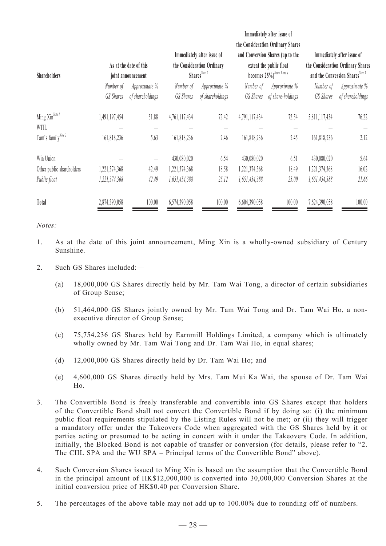| <b>Shareholders</b>                |               | As at the date of this<br>joint announcement |               | Immediately after issue of<br>the Consideration Ordinary<br>Shares <sup>Note 3</sup> |               | Immediately after issue of<br>the Consideration Ordinary Shares<br>and Conversion Shares (up to the<br>extent the public float<br>becomes 25%) <sup>Notes 3 and 4</sup> |               | Immediately after issue of<br>the Consideration Ordinary Shares<br>and the Conversion Shares Note 3 |
|------------------------------------|---------------|----------------------------------------------|---------------|--------------------------------------------------------------------------------------|---------------|-------------------------------------------------------------------------------------------------------------------------------------------------------------------------|---------------|-----------------------------------------------------------------------------------------------------|
|                                    | Number of     | Approximate %                                | Number of     | Approximate %                                                                        | Number of     | Approximate %                                                                                                                                                           | Number of     | Approximate %                                                                                       |
|                                    | GS Shares     | of shareholdings                             | GS Shares     | of shareholdings                                                                     | GS Shares     | of share-holdings                                                                                                                                                       | GS Shares     | of shareholdings                                                                                    |
| Ming Xin <sup>Note 1</sup><br>WTIL | 1,491,197,454 | 51.88                                        | 4,761,117,434 | 72.42                                                                                | 4,791,117,434 | 72.54                                                                                                                                                                   | 5,811,117,434 | 76.22                                                                                               |
| Tam's family <sup>Note 2</sup>     | 161,818,236   | 5.63                                         | 161,818,236   | 2.46                                                                                 | 161,818,236   | 2.45                                                                                                                                                                    | 161,818,236   | 2.12                                                                                                |
| Win Union                          |               |                                              | 430,080,020   | 6.54                                                                                 | 430,080,020   | 6.51                                                                                                                                                                    | 430,080,020   | 5.64                                                                                                |
| Other public shareholders          | 1,221,374,368 | 42.49                                        | 1,221,374,368 | 18.58                                                                                | 1,221,374,368 | 18.49                                                                                                                                                                   | 1,221,374,368 | 16.02                                                                                               |
| Public float                       | 1,221,374,368 | 42.49                                        | 1,651,454,388 | 25.12                                                                                | 1,651,454,388 | 25.00                                                                                                                                                                   | 1,651,454,388 | 21.66                                                                                               |
| Total                              | 2,874,390,058 | 100.00                                       | 6,574,390,058 | 100.00                                                                               | 6,604,390,058 | 100.00                                                                                                                                                                  | 7,624,390,058 | 100.00                                                                                              |

#### *Notes:*

- 1. As at the date of this joint announcement, Ming Xin is a wholly-owned subsidiary of Century Sunshine.
- 2. Such GS Shares included:—
	- (a) 18,000,000 GS Shares directly held by Mr. Tam Wai Tong, a director of certain subsidiaries of Group Sense;
	- (b) 51,464,000 GS Shares jointly owned by Mr. Tam Wai Tong and Dr. Tam Wai Ho, a nonexecutive director of Group Sense;
	- (c) 75,754,236 GS Shares held by Earnmill Holdings Limited, a company which is ultimately wholly owned by Mr. Tam Wai Tong and Dr. Tam Wai Ho, in equal shares;
	- (d) 12,000,000 GS Shares directly held by Dr. Tam Wai Ho; and
	- (e) 4,600,000 GS Shares directly held by Mrs. Tam Mui Ka Wai, the spouse of Dr. Tam Wai Ho.
- 3. The Convertible Bond is freely transferable and convertible into GS Shares except that holders of the Convertible Bond shall not convert the Convertible Bond if by doing so: (i) the minimum public float requirements stipulated by the Listing Rules will not be met; or (ii) they will trigger a mandatory offer under the Takeovers Code when aggregated with the GS Shares held by it or parties acting or presumed to be acting in concert with it under the Takeovers Code. In addition, initially, the Blocked Bond is not capable of transfer or conversion (for details, please refer to "2. The CIIL SPA and the WU SPA – Principal terms of the Convertible Bond" above).
- 4. Such Conversion Shares issued to Ming Xin is based on the assumption that the Convertible Bond in the principal amount of HK\$12,000,000 is converted into 30,000,000 Conversion Shares at the initial conversion price of HK\$0.40 per Conversion Share.
- 5. The percentages of the above table may not add up to 100.00% due to rounding off of numbers.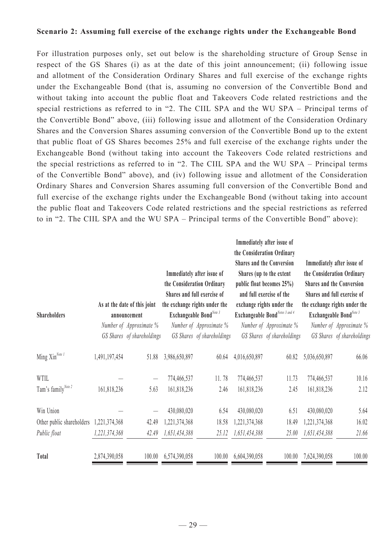#### **Scenario 2: Assuming full exercise of the exchange rights under the Exchangeable Bond**

For illustration purposes only, set out below is the shareholding structure of Group Sense in respect of the GS Shares (i) as at the date of this joint announcement; (ii) following issue and allotment of the Consideration Ordinary Shares and full exercise of the exchange rights under the Exchangeable Bond (that is, assuming no conversion of the Convertible Bond and without taking into account the public float and Takeovers Code related restrictions and the special restrictions as referred to in "2. The CIIL SPA and the WU SPA – Principal terms of the Convertible Bond" above, (iii) following issue and allotment of the Consideration Ordinary Shares and the Conversion Shares assuming conversion of the Convertible Bond up to the extent that public float of GS Shares becomes 25% and full exercise of the exchange rights under the Exchangeable Bond (without taking into account the Takeovers Code related restrictions and the special restrictions as referred to in "2. The CIIL SPA and the WU SPA – Principal terms of the Convertible Bond" above), and (iv) following issue and allotment of the Consideration Ordinary Shares and Conversion Shares assuming full conversion of the Convertible Bond and full exercise of the exchange rights under the Exchangeable Bond (without taking into account the public float and Takeovers Code related restrictions and the special restrictions as referred to in "2. The CIIL SPA and the WU SPA – Principal terms of the Convertible Bond" above):

|                                |               |                                                                         |               | Immediately after issue of<br>the Consideration Ordinary<br>Shares and full exercise of         | the Consideration Ordinary | Immediately after issue of<br><b>Shares and the Conversion</b><br>Shares (up to the extent<br>public float becomes 25%)<br>and full exercise of the | the Consideration Ordinary<br><b>Shares and the Conversion</b> | Immediately after issue of<br>Shares and full exercise of |
|--------------------------------|---------------|-------------------------------------------------------------------------|---------------|-------------------------------------------------------------------------------------------------|----------------------------|-----------------------------------------------------------------------------------------------------------------------------------------------------|----------------------------------------------------------------|-----------------------------------------------------------|
| <b>Shareholders</b>            |               | As at the date of this joint<br>announcement<br>Number of Approximate % |               | the exchange rights under the<br>Exchangeable Bond <sup>Note 3</sup><br>Number of Approximate % |                            | exchange rights under the<br>Exchangeable BondNotes 3 and 4<br>Number of Approximate %                                                              | Exchangeable BondNote 3                                        | the exchange rights under the<br>Number of Approximate %  |
|                                |               | GS Shares of shareholdings                                              |               | GS Shares of shareholdings                                                                      |                            | GS Shares of shareholdings                                                                                                                          |                                                                | GS Shares of shareholdings                                |
| Ming Xin <sup>Note 1</sup>     | 1,491,197,454 | 51.88                                                                   | 3,986,650,897 | 60.64                                                                                           | 4,016,650,897              | 60.82                                                                                                                                               | 5,036,650,897                                                  | 66.06                                                     |
| WTIL                           |               |                                                                         | 774,466,537   | 11.78                                                                                           | 774,466,537                | 11.73                                                                                                                                               | 774,466,537                                                    | 10.16                                                     |
| Tam's family <sup>Note 2</sup> | 161,818,236   | 5.63                                                                    | 161,818,236   | 2.46                                                                                            | 161,818,236                | 2.45                                                                                                                                                | 161,818,236                                                    | 2.12                                                      |
| Win Union                      |               |                                                                         | 430,080,020   | 6.54                                                                                            | 430,080,020                | 6.51                                                                                                                                                | 430,080,020                                                    | 5.64                                                      |
| Other public shareholders      | 1,221,374,368 | 42.49                                                                   | 1,221,374,368 | 18.58                                                                                           | ,221,374,368               | 18.49                                                                                                                                               | 1,221,374,368                                                  | 16.02                                                     |
| Public float                   | 1,221,374,368 | 42.49                                                                   | 1,651,454,388 | 25.12                                                                                           | 1,651,454,388              | 25.00                                                                                                                                               | 1,651,454,388                                                  | 21.66                                                     |
| Total                          | 2,874,390,058 | 100.00                                                                  | 6,574,390,058 | 100.00                                                                                          | 6,604,390,058              | 100.00                                                                                                                                              | 7,624,390,058                                                  | 100.00                                                    |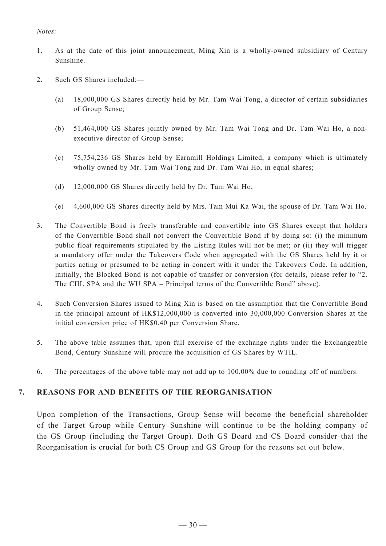#### *Notes:*

- 1. As at the date of this joint announcement, Ming Xin is a wholly-owned subsidiary of Century Sunshine.
- 2. Such GS Shares included:—
	- (a) 18,000,000 GS Shares directly held by Mr. Tam Wai Tong, a director of certain subsidiaries of Group Sense;
	- (b) 51,464,000 GS Shares jointly owned by Mr. Tam Wai Tong and Dr. Tam Wai Ho, a nonexecutive director of Group Sense;
	- (c) 75,754,236 GS Shares held by Earnmill Holdings Limited, a company which is ultimately wholly owned by Mr. Tam Wai Tong and Dr. Tam Wai Ho, in equal shares;
	- (d) 12,000,000 GS Shares directly held by Dr. Tam Wai Ho;
	- (e) 4,600,000 GS Shares directly held by Mrs. Tam Mui Ka Wai, the spouse of Dr. Tam Wai Ho.
- 3. The Convertible Bond is freely transferable and convertible into GS Shares except that holders of the Convertible Bond shall not convert the Convertible Bond if by doing so: (i) the minimum public float requirements stipulated by the Listing Rules will not be met; or (ii) they will trigger a mandatory offer under the Takeovers Code when aggregated with the GS Shares held by it or parties acting or presumed to be acting in concert with it under the Takeovers Code. In addition, initially, the Blocked Bond is not capable of transfer or conversion (for details, please refer to "2. The CIIL SPA and the WU SPA – Principal terms of the Convertible Bond" above).
- 4. Such Conversion Shares issued to Ming Xin is based on the assumption that the Convertible Bond in the principal amount of HK\$12,000,000 is converted into 30,000,000 Conversion Shares at the initial conversion price of HK\$0.40 per Conversion Share.
- 5. The above table assumes that, upon full exercise of the exchange rights under the Exchangeable Bond, Century Sunshine will procure the acquisition of GS Shares by WTIL.
- 6. The percentages of the above table may not add up to 100.00% due to rounding off of numbers.

#### **7. REASONS FOR AND BENEFITS OF THE REORGANISATION**

Upon completion of the Transactions, Group Sense will become the beneficial shareholder of the Target Group while Century Sunshine will continue to be the holding company of the GS Group (including the Target Group). Both GS Board and CS Board consider that the Reorganisation is crucial for both CS Group and GS Group for the reasons set out below.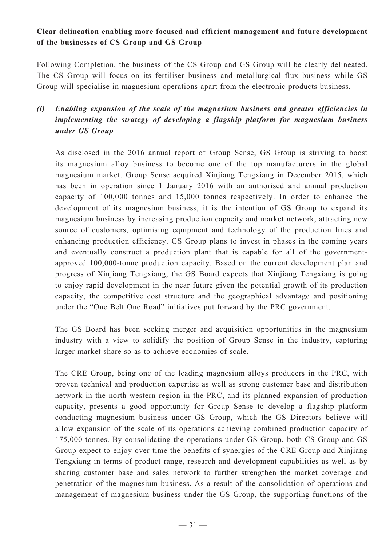## **Clear delineation enabling more focused and efficient management and future development of the businesses of CS Group and GS Group**

Following Completion, the business of the CS Group and GS Group will be clearly delineated. The CS Group will focus on its fertiliser business and metallurgical flux business while GS Group will specialise in magnesium operations apart from the electronic products business.

## *(i) Enabling expansion of the scale of the magnesium business and greater efficiencies in implementing the strategy of developing a flagship platform for magnesium business under GS Group*

As disclosed in the 2016 annual report of Group Sense, GS Group is striving to boost its magnesium alloy business to become one of the top manufacturers in the global magnesium market. Group Sense acquired Xinjiang Tengxiang in December 2015, which has been in operation since 1 January 2016 with an authorised and annual production capacity of 100,000 tonnes and 15,000 tonnes respectively. In order to enhance the development of its magnesium business, it is the intention of GS Group to expand its magnesium business by increasing production capacity and market network, attracting new source of customers, optimising equipment and technology of the production lines and enhancing production efficiency. GS Group plans to invest in phases in the coming years and eventually construct a production plant that is capable for all of the governmentapproved 100,000-tonne production capacity. Based on the current development plan and progress of Xinjiang Tengxiang, the GS Board expects that Xinjiang Tengxiang is going to enjoy rapid development in the near future given the potential growth of its production capacity, the competitive cost structure and the geographical advantage and positioning under the "One Belt One Road" initiatives put forward by the PRC government.

The GS Board has been seeking merger and acquisition opportunities in the magnesium industry with a view to solidify the position of Group Sense in the industry, capturing larger market share so as to achieve economies of scale.

The CRE Group, being one of the leading magnesium alloys producers in the PRC, with proven technical and production expertise as well as strong customer base and distribution network in the north-western region in the PRC, and its planned expansion of production capacity, presents a good opportunity for Group Sense to develop a flagship platform conducting magnesium business under GS Group, which the GS Directors believe will allow expansion of the scale of its operations achieving combined production capacity of 175,000 tonnes. By consolidating the operations under GS Group, both CS Group and GS Group expect to enjoy over time the benefits of synergies of the CRE Group and Xinjiang Tengxiang in terms of product range, research and development capabilities as well as by sharing customer base and sales network to further strengthen the market coverage and penetration of the magnesium business. As a result of the consolidation of operations and management of magnesium business under the GS Group, the supporting functions of the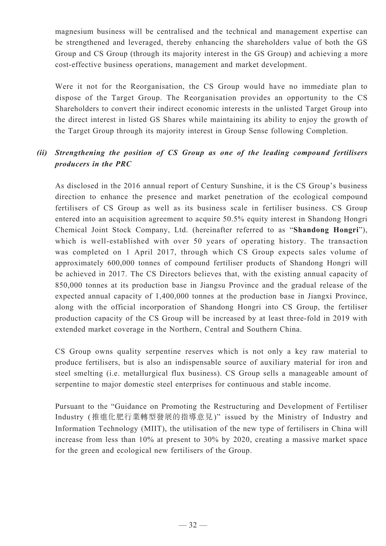magnesium business will be centralised and the technical and management expertise can be strengthened and leveraged, thereby enhancing the shareholders value of both the GS Group and CS Group (through its majority interest in the GS Group) and achieving a more cost-effective business operations, management and market development.

Were it not for the Reorganisation, the CS Group would have no immediate plan to dispose of the Target Group. The Reorganisation provides an opportunity to the CS Shareholders to convert their indirect economic interests in the unlisted Target Group into the direct interest in listed GS Shares while maintaining its ability to enjoy the growth of the Target Group through its majority interest in Group Sense following Completion.

## *(ii) Strengthening the position of CS Group as one of the leading compound fertilisers producers in the PRC*

As disclosed in the 2016 annual report of Century Sunshine, it is the CS Group's business direction to enhance the presence and market penetration of the ecological compound fertilisers of CS Group as well as its business scale in fertiliser business. CS Group entered into an acquisition agreement to acquire 50.5% equity interest in Shandong Hongri Chemical Joint Stock Company, Ltd. (hereinafter referred to as "**Shandong Hongri**"), which is well-established with over 50 years of operating history. The transaction was completed on 1 April 2017, through which CS Group expects sales volume of approximately 600,000 tonnes of compound fertiliser products of Shandong Hongri will be achieved in 2017. The CS Directors believes that, with the existing annual capacity of 850,000 tonnes at its production base in Jiangsu Province and the gradual release of the expected annual capacity of 1,400,000 tonnes at the production base in Jiangxi Province, along with the official incorporation of Shandong Hongri into CS Group, the fertiliser production capacity of the CS Group will be increased by at least three-fold in 2019 with extended market coverage in the Northern, Central and Southern China.

CS Group owns quality serpentine reserves which is not only a key raw material to produce fertilisers, but is also an indispensable source of auxiliary material for iron and steel smelting (i.e. metallurgical flux business). CS Group sells a manageable amount of serpentine to major domestic steel enterprises for continuous and stable income.

Pursuant to the "Guidance on Promoting the Restructuring and Development of Fertiliser Industry (推進化肥行業轉型發展的指導意見)" issued by the Ministry of Industry and Information Technology (MIIT), the utilisation of the new type of fertilisers in China will increase from less than 10% at present to 30% by 2020, creating a massive market space for the green and ecological new fertilisers of the Group.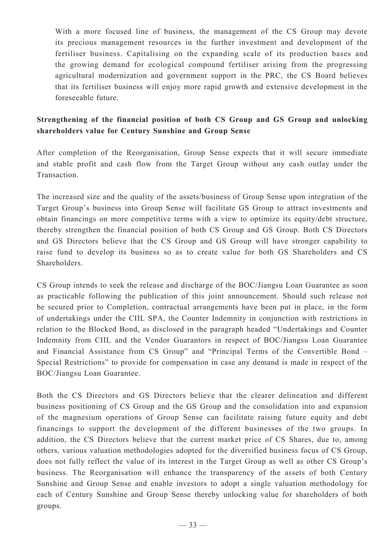With a more focused line of business, the management of the CS Group may devote its precious management resources in the further investment and development of the fertiliser business. Capitalising on the expanding scale of its production bases and the growing demand for ecological compound fertiliser arising from the progressing agricultural modernization and government support in the PRC, the CS Board believes that its fertiliser business will enjoy more rapid growth and extensive development in the foreseeable future.

### **Strengthening of the financial position of both CS Group and GS Group and unlocking shareholders value for Century Sunshine and Group Sense**

After completion of the Reorganisation, Group Sense expects that it will secure immediate and stable profit and cash flow from the Target Group without any cash outlay under the **Transaction** 

The increased size and the quality of the assets/business of Group Sense upon integration of the Target Group's business into Group Sense will facilitate GS Group to attract investments and obtain financings on more competitive terms with a view to optimize its equity/debt structure, thereby strengthen the financial position of both CS Group and GS Group. Both CS Directors and GS Directors believe that the CS Group and GS Group will have stronger capability to raise fund to develop its business so as to create value for both GS Shareholders and CS Shareholders.

CS Group intends to seek the release and discharge of the BOC/Jiangsu Loan Guarantee as soon as practicable following the publication of this joint announcement. Should such release not be secured prior to Completion, contractual arrangements have been put in place, in the form of undertakings under the CIIL SPA, the Counter Indemnity in conjunction with restrictions in relation to the Blocked Bond, as disclosed in the paragraph headed "Undertakings and Counter Indemnity from CIIL and the Vendor Guarantors in respect of BOC/Jiangsu Loan Guarantee and Financial Assistance from CS Group" and "Principal Terms of the Convertible Bond – Special Restrictions" to provide for compensation in case any demand is made in respect of the BOC/Jiangsu Loan Guarantee.

Both the CS Directors and GS Directors believe that the clearer delineation and different business positioning of CS Group and the GS Group and the consolidation into and expansion of the magnesium operations of Group Sense can facilitate raising future equity and debt financings to support the development of the different businesses of the two groups. In addition, the CS Directors believe that the current market price of CS Shares, due to, among others, various valuation methodologies adopted for the diversified business focus of CS Group, does not fully reflect the value of its interest in the Target Group as well as other CS Group's business. The Reorganisation will enhance the transparency of the assets of both Century Sunshine and Group Sense and enable investors to adopt a single valuation methodology for each of Century Sunshine and Group Sense thereby unlocking value for shareholders of both groups.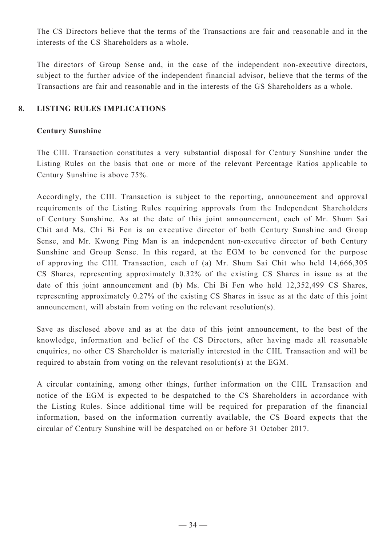The CS Directors believe that the terms of the Transactions are fair and reasonable and in the interests of the CS Shareholders as a whole.

The directors of Group Sense and, in the case of the independent non-executive directors, subject to the further advice of the independent financial advisor, believe that the terms of the Transactions are fair and reasonable and in the interests of the GS Shareholders as a whole.

#### **8. LISTING RULES IMPLICATIONS**

#### **Century Sunshine**

The CIIL Transaction constitutes a very substantial disposal for Century Sunshine under the Listing Rules on the basis that one or more of the relevant Percentage Ratios applicable to Century Sunshine is above 75%.

Accordingly, the CIIL Transaction is subject to the reporting, announcement and approval requirements of the Listing Rules requiring approvals from the Independent Shareholders of Century Sunshine. As at the date of this joint announcement, each of Mr. Shum Sai Chit and Ms. Chi Bi Fen is an executive director of both Century Sunshine and Group Sense, and Mr. Kwong Ping Man is an independent non-executive director of both Century Sunshine and Group Sense. In this regard, at the EGM to be convened for the purpose of approving the CIIL Transaction, each of (a) Mr. Shum Sai Chit who held 14,666,305 CS Shares, representing approximately 0.32% of the existing CS Shares in issue as at the date of this joint announcement and (b) Ms. Chi Bi Fen who held 12,352,499 CS Shares, representing approximately 0.27% of the existing CS Shares in issue as at the date of this joint announcement, will abstain from voting on the relevant resolution(s).

Save as disclosed above and as at the date of this joint announcement, to the best of the knowledge, information and belief of the CS Directors, after having made all reasonable enquiries, no other CS Shareholder is materially interested in the CIIL Transaction and will be required to abstain from voting on the relevant resolution(s) at the EGM.

A circular containing, among other things, further information on the CIIL Transaction and notice of the EGM is expected to be despatched to the CS Shareholders in accordance with the Listing Rules. Since additional time will be required for preparation of the financial information, based on the information currently available, the CS Board expects that the circular of Century Sunshine will be despatched on or before 31 October 2017.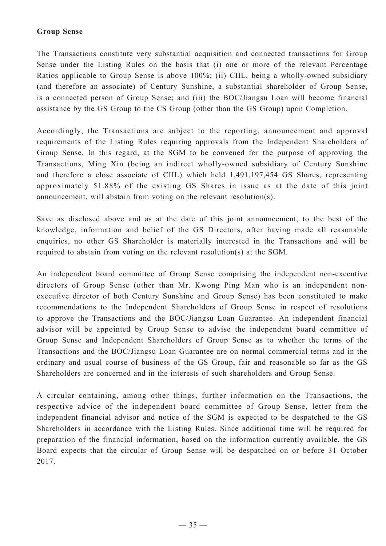#### **Group Sense**

The Transactions constitute very substantial acquisition and connected transactions for Group Sense under the Listing Rules on the basis that (i) one or more of the relevant Percentage Ratios applicable to Group Sense is above 100%; (ii) CIIL, being a wholly-owned subsidiary (and therefore an associate) of Century Sunshine, a substantial shareholder of Group Sense, is a connected person of Group Sense; and (iii) the BOC/Jiangsu Loan will become financial assistance by the GS Group to the CS Group (other than the GS Group) upon Completion.

Accordingly, the Transactions are subject to the reporting, announcement and approval requirements of the Listing Rules requiring approvals from the Independent Shareholders of Group Sense. In this regard, at the SGM to be convened for the purpose of approving the Transactions, Ming Xin (being an indirect wholly-owned subsidiary of Century Sunshine and therefore a close associate of CIIL) which held 1,491,197,454 GS Shares, representing approximately 51.88% of the existing GS Shares in issue as at the date of this joint announcement, will abstain from voting on the relevant resolution(s).

Save as disclosed above and as at the date of this joint announcement, to the best of the knowledge, information and belief of the GS Directors, after having made all reasonable enquiries, no other GS Shareholder is materially interested in the Transactions and will be required to abstain from voting on the relevant resolution(s) at the SGM.

An independent board committee of Group Sense comprising the independent non-executive directors of Group Sense (other than Mr. Kwong Ping Man who is an independent nonexecutive director of both Century Sunshine and Group Sense) has been constituted to make recommendations to the Independent Shareholders of Group Sense in respect of resolutions to approve the Transactions and the BOC/Jiangsu Loan Guarantee. An independent financial advisor will be appointed by Group Sense to advise the independent board committee of Group Sense and Independent Shareholders of Group Sense as to whether the terms of the Transactions and the BOC/Jiangsu Loan Guarantee are on normal commercial terms and in the ordinary and usual course of business of the GS Group, fair and reasonable so far as the GS Shareholders are concerned and in the interests of such shareholders and Group Sense.

A circular containing, among other things, further information on the Transactions, the respective advice of the independent board committee of Group Sense, letter from the independent financial advisor and notice of the SGM is expected to be despatched to the GS Shareholders in accordance with the Listing Rules. Since additional time will be required for preparation of the financial information, based on the information currently available, the GS Board expects that the circular of Group Sense will be despatched on or before 31 October 2017.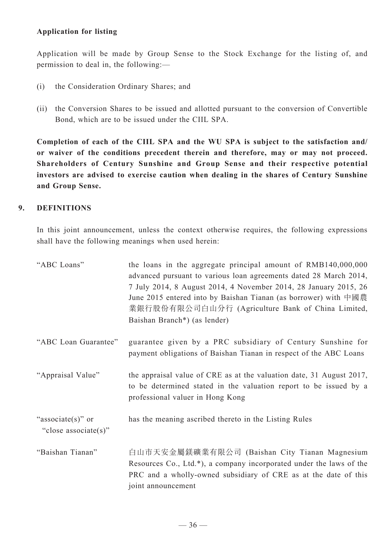### **Application for listing**

Application will be made by Group Sense to the Stock Exchange for the listing of, and permission to deal in, the following:—

- (i) the Consideration Ordinary Shares; and
- (ii) the Conversion Shares to be issued and allotted pursuant to the conversion of Convertible Bond, which are to be issued under the CIIL SPA.

**Completion of each of the CIIL SPA and the WU SPA is subject to the satisfaction and/ or waiver of the conditions precedent therein and therefore, may or may not proceed. Shareholders of Century Sunshine and Group Sense and their respective potential investors are advised to exercise caution when dealing in the shares of Century Sunshine and Group Sense.**

### **9. DEFINITIONS**

In this joint announcement, unless the context otherwise requires, the following expressions shall have the following meanings when used herein:

| "ABC Loans"                                   | the loans in the aggregate principal amount of RMB140,000,000<br>advanced pursuant to various loan agreements dated 28 March 2014,<br>7 July 2014, 8 August 2014, 4 November 2014, 28 January 2015, 26<br>June 2015 entered into by Baishan Tianan (as borrower) with 中國農<br>業銀行股份有限公司白山分行 (Agriculture Bank of China Limited,<br>Baishan Branch*) (as lender) |
|-----------------------------------------------|----------------------------------------------------------------------------------------------------------------------------------------------------------------------------------------------------------------------------------------------------------------------------------------------------------------------------------------------------------------|
| "ABC Loan Guarantee"                          | guarantee given by a PRC subsidiary of Century Sunshine for<br>payment obligations of Baishan Tianan in respect of the ABC Loans                                                                                                                                                                                                                               |
| "Appraisal Value"                             | the appraisal value of CRE as at the valuation date, 31 August 2017,<br>to be determined stated in the valuation report to be issued by a<br>professional valuer in Hong Kong                                                                                                                                                                                  |
| "associate $(s)$ " or<br>"close associate(s)" | has the meaning ascribed thereto in the Listing Rules                                                                                                                                                                                                                                                                                                          |
| "Baishan Tianan"                              | 白山市天安金屬鎂礦業有限公司 (Baishan City Tianan Magnesium<br>Resources Co., Ltd.*), a company incorporated under the laws of the<br>PRC and a wholly-owned subsidiary of CRE as at the date of this<br>joint announcement                                                                                                                                                  |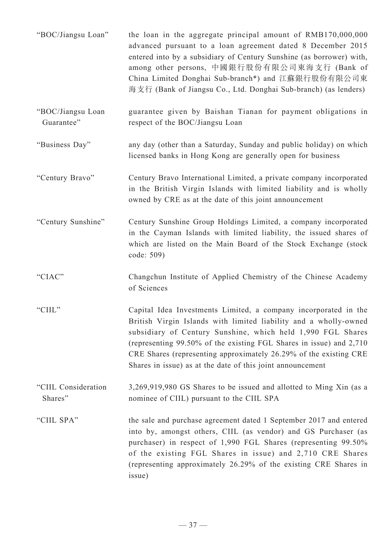| "BOC/Jiangsu Loan"              | the loan in the aggregate principal amount of RMB170,000,000<br>advanced pursuant to a loan agreement dated 8 December 2015<br>entered into by a subsidiary of Century Sunshine (as borrower) with,<br>among other persons, 中國銀行股份有限公司東海支行 (Bank of<br>China Limited Donghai Sub-branch*) and 江蘇銀行股份有限公司東<br>海支行 (Bank of Jiangsu Co., Ltd. Donghai Sub-branch) (as lenders)                                 |
|---------------------------------|--------------------------------------------------------------------------------------------------------------------------------------------------------------------------------------------------------------------------------------------------------------------------------------------------------------------------------------------------------------------------------------------------------------|
| "BOC/Jiangsu Loan<br>Guarantee" | guarantee given by Baishan Tianan for payment obligations in<br>respect of the BOC/Jiangsu Loan                                                                                                                                                                                                                                                                                                              |
| "Business Day"                  | any day (other than a Saturday, Sunday and public holiday) on which<br>licensed banks in Hong Kong are generally open for business                                                                                                                                                                                                                                                                           |
| "Century Bravo"                 | Century Bravo International Limited, a private company incorporated<br>in the British Virgin Islands with limited liability and is wholly<br>owned by CRE as at the date of this joint announcement                                                                                                                                                                                                          |
| "Century Sunshine"              | Century Sunshine Group Holdings Limited, a company incorporated<br>in the Cayman Islands with limited liability, the issued shares of<br>which are listed on the Main Board of the Stock Exchange (stock<br>code: 509)                                                                                                                                                                                       |
| "CIAC"                          | Changchun Institute of Applied Chemistry of the Chinese Academy<br>of Sciences                                                                                                                                                                                                                                                                                                                               |
| "CIIL"                          | Capital Idea Investments Limited, a company incorporated in the<br>British Virgin Islands with limited liability and a wholly-owned<br>subsidiary of Century Sunshine, which held 1,990 FGL Shares<br>(representing 99.50% of the existing FGL Shares in issue) and 2,710<br>CRE Shares (representing approximately 26.29% of the existing CRE<br>Shares in issue) as at the date of this joint announcement |
| "CIIL Consideration<br>Shares"  | 3,269,919,980 GS Shares to be issued and allotted to Ming Xin (as a<br>nominee of CIIL) pursuant to the CIIL SPA                                                                                                                                                                                                                                                                                             |
| "CIIL SPA"                      | the sale and purchase agreement dated 1 September 2017 and entered<br>into by, amongst others, CIIL (as vendor) and GS Purchaser (as<br>purchaser) in respect of 1,990 FGL Shares (representing 99.50%<br>of the existing FGL Shares in issue) and 2,710 CRE Shares<br>(representing approximately 26.29% of the existing CRE Shares in<br>issue)                                                            |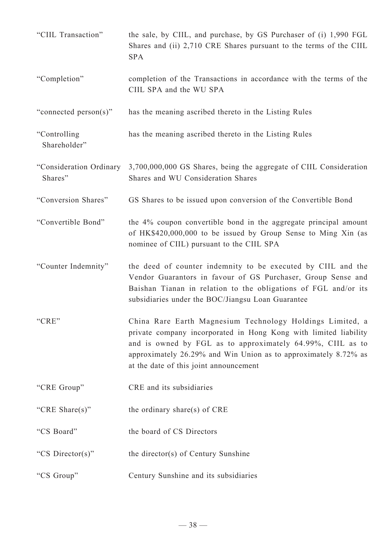| "CIIL Transaction"                 | the sale, by CIIL, and purchase, by GS Purchaser of (i) 1,990 FGL<br>Shares and (ii) 2,710 CRE Shares pursuant to the terms of the CIIL<br><b>SPA</b>                                                                                                                                                    |
|------------------------------------|----------------------------------------------------------------------------------------------------------------------------------------------------------------------------------------------------------------------------------------------------------------------------------------------------------|
| "Completion"                       | completion of the Transactions in accordance with the terms of the<br>CIIL SPA and the WU SPA                                                                                                                                                                                                            |
| "connected person(s)"              | has the meaning ascribed thereto in the Listing Rules                                                                                                                                                                                                                                                    |
| "Controlling<br>Shareholder"       | has the meaning ascribed thereto in the Listing Rules                                                                                                                                                                                                                                                    |
| "Consideration Ordinary<br>Shares" | 3,700,000,000 GS Shares, being the aggregate of CIIL Consideration<br>Shares and WU Consideration Shares                                                                                                                                                                                                 |
| "Conversion Shares"                | GS Shares to be issued upon conversion of the Convertible Bond                                                                                                                                                                                                                                           |
| "Convertible Bond"                 | the 4% coupon convertible bond in the aggregate principal amount<br>of HK\$420,000,000 to be issued by Group Sense to Ming Xin (as<br>nominee of CIIL) pursuant to the CIIL SPA                                                                                                                          |
| "Counter Indemnity"                | the deed of counter indemnity to be executed by CIIL and the<br>Vendor Guarantors in favour of GS Purchaser, Group Sense and<br>Baishan Tianan in relation to the obligations of FGL and/or its<br>subsidiaries under the BOC/Jiangsu Loan Guarantee                                                     |
| "CRE"                              | China Rare Earth Magnesium Technology Holdings Limited, a<br>private company incorporated in Hong Kong with limited liability<br>and is owned by FGL as to approximately 64.99%, CIIL as to<br>approximately 26.29% and Win Union as to approximately 8.72% as<br>at the date of this joint announcement |
| "CRE Group"                        | CRE and its subsidiaries                                                                                                                                                                                                                                                                                 |
| "CRE Share(s)"                     | the ordinary share(s) of CRE                                                                                                                                                                                                                                                                             |
| "CS Board"                         | the board of CS Directors                                                                                                                                                                                                                                                                                |
| "CS Director(s)"                   | the director(s) of Century Sunshine                                                                                                                                                                                                                                                                      |
| "CS Group"                         | Century Sunshine and its subsidiaries                                                                                                                                                                                                                                                                    |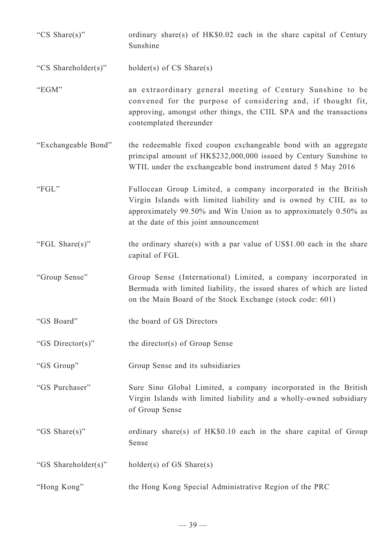"CS Share(s)" ordinary share(s) of HK\$0.02 each in the share capital of Century Sunshine

"CS Shareholder(s)" holder(s) of CS Share(s)

- "EGM" an extraordinary general meeting of Century Sunshine to be convened for the purpose of considering and, if thought fit, approving, amongst other things, the CIIL SPA and the transactions contemplated thereunder
- "Exchangeable Bond" the redeemable fixed coupon exchangeable bond with an aggregate principal amount of HK\$232,000,000 issued by Century Sunshine to WTIL under the exchangeable bond instrument dated 5 May 2016
- "FGL" Fullocean Group Limited, a company incorporated in the British Virgin Islands with limited liability and is owned by CIIL as to approximately 99.50% and Win Union as to approximately 0.50% as at the date of this joint announcement
- "FGL Share(s)" the ordinary share(s) with a par value of  $USS1.00$  each in the share capital of FGL
- "Group Sense" Group Sense (International) Limited, a company incorporated in Bermuda with limited liability, the issued shares of which are listed on the Main Board of the Stock Exchange (stock code: 601)
- "GS Board" the board of GS Directors
- "GS Director(s)" the director(s) of Group Sense
- "GS Group" Group Sense and its subsidiaries
- "GS Purchaser" Sure Sino Global Limited, a company incorporated in the British Virgin Islands with limited liability and a wholly-owned subsidiary of Group Sense
- "GS Share(s)" ordinary share(s) of HK\$0.10 each in the share capital of Group Sense
- "GS Shareholder(s)" holder(s) of GS Share(s)
- "Hong Kong" the Hong Kong Special Administrative Region of the PRC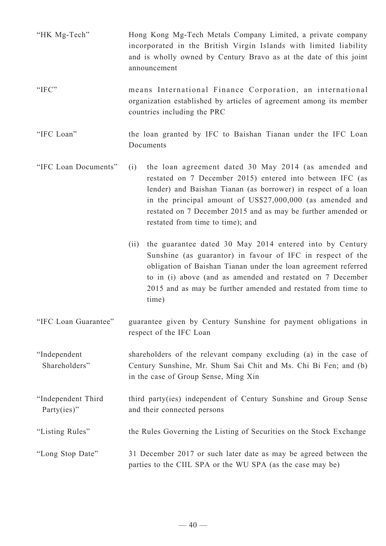- "HK Mg-Tech" Hong Kong Mg-Tech Metals Company Limited, a private company incorporated in the British Virgin Islands with limited liability and is wholly owned by Century Bravo as at the date of this joint announcement
- "IFC" means International Finance Corporation, an international organization established by articles of agreement among its member countries including the PRC
- "IFC Loan" the loan granted by IFC to Baishan Tianan under the IFC Loan **Documents**
- "IFC Loan Documents" (i) the loan agreement dated 30 May 2014 (as amended and restated on 7 December 2015) entered into between IFC (as lender) and Baishan Tianan (as borrower) in respect of a loan in the principal amount of US\$27,000,000 (as amended and restated on 7 December 2015 and as may be further amended or restated from time to time); and
	- (ii) the guarantee dated 30 May 2014 entered into by Century Sunshine (as guarantor) in favour of IFC in respect of the obligation of Baishan Tianan under the loan agreement referred to in (i) above (and as amended and restated on 7 December 2015 and as may be further amended and restated from time to time)
- "IFC Loan Guarantee" guarantee given by Century Sunshine for payment obligations in respect of the IFC Loan
- "Independent Shareholders" shareholders of the relevant company excluding (a) in the case of Century Sunshine, Mr. Shum Sai Chit and Ms. Chi Bi Fen; and (b) in the case of Group Sense, Ming Xin
- "Independent Third Party(ies)" third party(ies) independent of Century Sunshine and Group Sense and their connected persons
- "Listing Rules" the Rules Governing the Listing of Securities on the Stock Exchange
- "Long Stop Date" 31 December 2017 or such later date as may be agreed between the parties to the CIIL SPA or the WU SPA (as the case may be)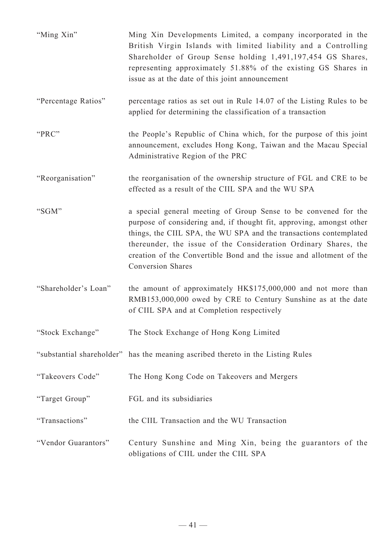| "Ming Xin"           | Ming Xin Developments Limited, a company incorporated in the<br>British Virgin Islands with limited liability and a Controlling<br>Shareholder of Group Sense holding 1,491,197,454 GS Shares,<br>representing approximately 51.88% of the existing GS Shares in<br>issue as at the date of this joint announcement                                                                 |
|----------------------|-------------------------------------------------------------------------------------------------------------------------------------------------------------------------------------------------------------------------------------------------------------------------------------------------------------------------------------------------------------------------------------|
| "Percentage Ratios"  | percentage ratios as set out in Rule 14.07 of the Listing Rules to be<br>applied for determining the classification of a transaction                                                                                                                                                                                                                                                |
| "PRC"                | the People's Republic of China which, for the purpose of this joint<br>announcement, excludes Hong Kong, Taiwan and the Macau Special<br>Administrative Region of the PRC                                                                                                                                                                                                           |
| "Reorganisation"     | the reorganisation of the ownership structure of FGL and CRE to be<br>effected as a result of the CIIL SPA and the WU SPA                                                                                                                                                                                                                                                           |
| "SGM"                | a special general meeting of Group Sense to be convened for the<br>purpose of considering and, if thought fit, approving, amongst other<br>things, the CIIL SPA, the WU SPA and the transactions contemplated<br>thereunder, the issue of the Consideration Ordinary Shares, the<br>creation of the Convertible Bond and the issue and allotment of the<br><b>Conversion Shares</b> |
| "Shareholder's Loan" | the amount of approximately HK\$175,000,000 and not more than<br>RMB153,000,000 owed by CRE to Century Sunshine as at the date<br>of CIIL SPA and at Completion respectively                                                                                                                                                                                                        |
| "Stock Exchange"     | The Stock Exchange of Hong Kong Limited                                                                                                                                                                                                                                                                                                                                             |
|                      | "substantial shareholder" has the meaning ascribed thereto in the Listing Rules                                                                                                                                                                                                                                                                                                     |
| "Takeovers Code"     | The Hong Kong Code on Takeovers and Mergers                                                                                                                                                                                                                                                                                                                                         |
| "Target Group"       | FGL and its subsidiaries                                                                                                                                                                                                                                                                                                                                                            |
| "Transactions"       | the CIIL Transaction and the WU Transaction                                                                                                                                                                                                                                                                                                                                         |
| "Vendor Guarantors"  | Century Sunshine and Ming Xin, being the guarantors of the<br>obligations of CIIL under the CIIL SPA                                                                                                                                                                                                                                                                                |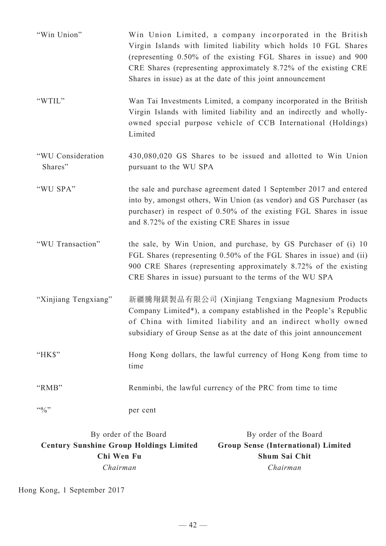| "Win Union"                  | Win Union Limited, a company incorporated in the British<br>Virgin Islands with limited liability which holds 10 FGL Shares<br>(representing 0.50% of the existing FGL Shares in issue) and 900<br>CRE Shares (representing approximately 8.72% of the existing CRE<br>Shares in issue) as at the date of this joint announcement |
|------------------------------|-----------------------------------------------------------------------------------------------------------------------------------------------------------------------------------------------------------------------------------------------------------------------------------------------------------------------------------|
| "WTIL"                       | Wan Tai Investments Limited, a company incorporated in the British<br>Virgin Islands with limited liability and an indirectly and wholly-<br>owned special purpose vehicle of CCB International (Holdings)<br>Limited                                                                                                             |
| "WU Consideration<br>Shares" | 430,080,020 GS Shares to be issued and allotted to Win Union<br>pursuant to the WU SPA                                                                                                                                                                                                                                            |
| "WU SPA"                     | the sale and purchase agreement dated 1 September 2017 and entered<br>into by, amongst others, Win Union (as vendor) and GS Purchaser (as<br>purchaser) in respect of 0.50% of the existing FGL Shares in issue<br>and 8.72% of the existing CRE Shares in issue                                                                  |
| "WU Transaction"             | the sale, by Win Union, and purchase, by GS Purchaser of (i) 10<br>FGL Shares (representing 0.50% of the FGL Shares in issue) and (ii)<br>900 CRE Shares (representing approximately 8.72% of the existing<br>CRE Shares in issue) pursuant to the terms of the WU SPA                                                            |
| "Xinjiang Tengxiang"         | 新疆騰翔鎂製品有限公司 (Xinjiang Tengxiang Magnesium Products<br>Company Limited*), a company established in the People's Republic<br>of China with limited liability and an indirect wholly owned<br>subsidiary of Group Sense as at the date of this joint announcement                                                                    |
| "HK\$"                       | Hong Kong dollars, the lawful currency of Hong Kong from time to<br>time                                                                                                                                                                                                                                                          |
| "RMB"                        | Renminbi, the lawful currency of the PRC from time to time                                                                                                                                                                                                                                                                        |
| $\mathfrak{so}_{/0}$ "       | per cent                                                                                                                                                                                                                                                                                                                          |

| By order of the Board                          | By order of the Board                      |
|------------------------------------------------|--------------------------------------------|
| <b>Century Sunshine Group Holdings Limited</b> | <b>Group Sense (International) Limited</b> |
| Chi Wen Fu                                     | <b>Shum Sai Chit</b>                       |
| Chairman                                       | Chairman                                   |
|                                                |                                            |

Hong Kong, 1 September 2017